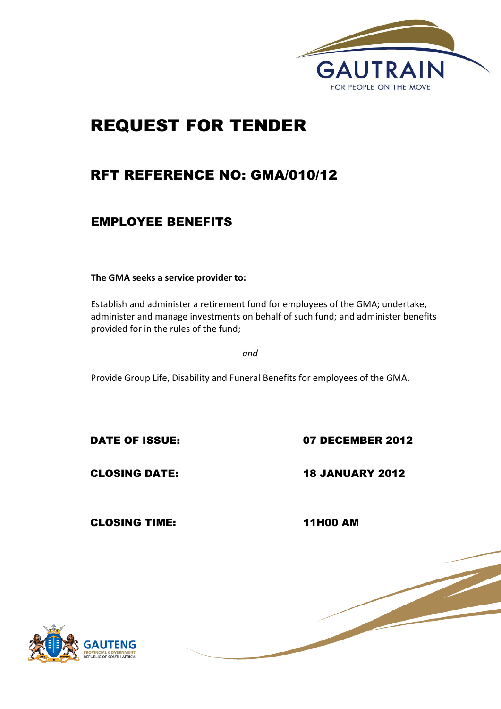

# REQUEST FOR TENDER

# RFT REFERENCE NO: GMA/010/12

# EMPLOYEE BENEFITS

**The GMA seeks a service provider to:**

Establish and administer a retirement fund for employees of the GMA; undertake, administer and manage investments on behalf of such fund; and administer benefits provided for in the rules of the fund;

*and*

Provide Group Life, Disability and Funeral Benefits for employees of the GMA.

DATE OF ISSUE: 07 DECEMBER 2012

CLOSING DATE: 18 JANUARY 2012

CLOSING TIME: 11H00 AM

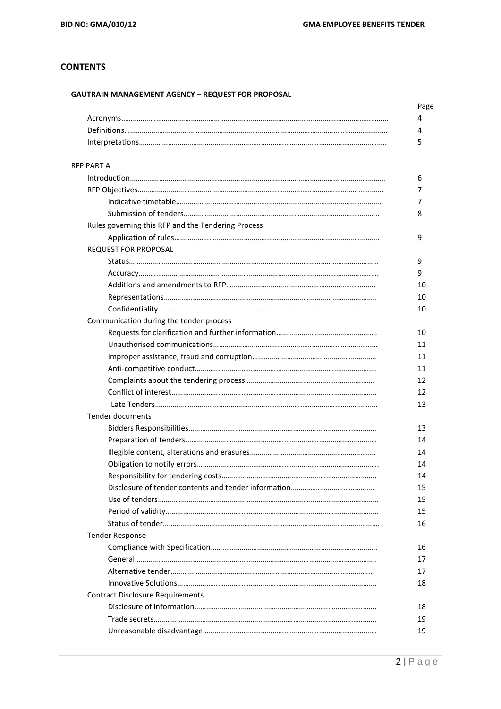# **CONTENTS**

## **GAUTRAIN MANAGEMENT AGENCY – REQUEST FOR PROPOSAL**

| <b>RFP PART A</b>                                  |  |
|----------------------------------------------------|--|
|                                                    |  |
|                                                    |  |
|                                                    |  |
|                                                    |  |
| Rules governing this RFP and the Tendering Process |  |
|                                                    |  |
| <b>REQUEST FOR PROPOSAL</b>                        |  |
|                                                    |  |
|                                                    |  |
|                                                    |  |
|                                                    |  |
|                                                    |  |
| Communication during the tender process            |  |
|                                                    |  |
|                                                    |  |
|                                                    |  |
|                                                    |  |
|                                                    |  |
|                                                    |  |
|                                                    |  |
| <b>Tender documents</b>                            |  |
|                                                    |  |
|                                                    |  |
|                                                    |  |
|                                                    |  |
|                                                    |  |
|                                                    |  |
|                                                    |  |
|                                                    |  |
|                                                    |  |
| <b>Tender Response</b>                             |  |
|                                                    |  |
|                                                    |  |
|                                                    |  |
|                                                    |  |
| <b>Contract Disclosure Requirements</b>            |  |
|                                                    |  |
|                                                    |  |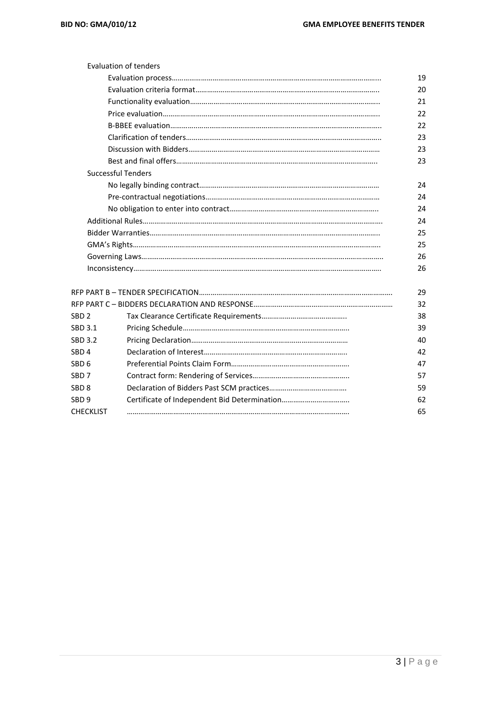|                  | Evaluation of tenders     |    |
|------------------|---------------------------|----|
|                  |                           | 19 |
|                  |                           | 20 |
|                  |                           | 21 |
|                  |                           | 22 |
|                  |                           | 22 |
|                  |                           | 23 |
|                  |                           | 23 |
|                  |                           | 23 |
|                  | <b>Successful Tenders</b> |    |
|                  |                           | 24 |
|                  |                           | 24 |
|                  |                           | 24 |
|                  |                           | 24 |
|                  |                           | 25 |
|                  |                           | 25 |
|                  |                           | 26 |
|                  |                           | 26 |
|                  |                           |    |
|                  |                           | 29 |
|                  |                           | 32 |
| SBD 2            |                           | 38 |
| SBD 3.1          |                           | 39 |
| SBD 3.2          |                           | 40 |
| SBD <sub>4</sub> |                           | 42 |
| SBD 6            |                           | 47 |
| SBD 7            |                           | 57 |
| SBD 8            |                           | 59 |
| SBD 9            |                           | 62 |
| <b>CHECKLIST</b> |                           | 65 |
|                  |                           |    |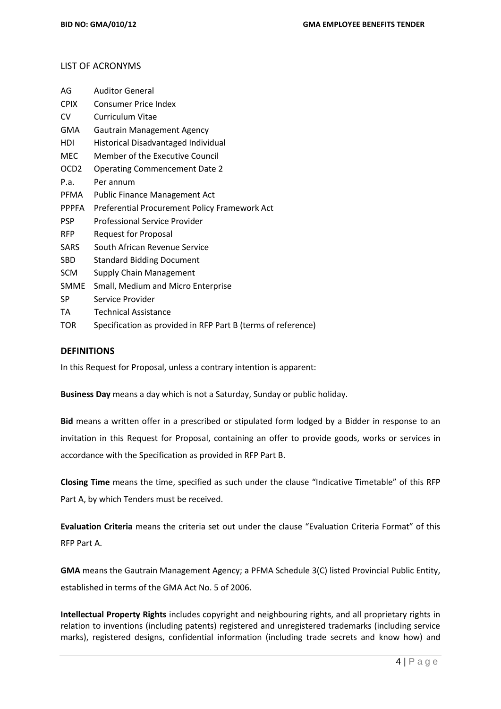#### LIST OF ACRONYMS

| AG           | <b>Auditor General</b>                                       |
|--------------|--------------------------------------------------------------|
| <b>CPIX</b>  | <b>Consumer Price Index</b>                                  |
| CV           | Curriculum Vitae                                             |
| GMA          | <b>Gautrain Management Agency</b>                            |
| HDI          | <b>Historical Disadvantaged Individual</b>                   |
| MEC          | Member of the Executive Council                              |
| OCD2         | <b>Operating Commencement Date 2</b>                         |
| P.a.         | Per annum                                                    |
| PFMA         | <b>Public Finance Management Act</b>                         |
| <b>PPPFA</b> | Preferential Procurement Policy Framework Act                |
| <b>PSP</b>   | <b>Professional Service Provider</b>                         |
| <b>RFP</b>   | <b>Request for Proposal</b>                                  |
| SARS         | South African Revenue Service                                |
| SBD          | <b>Standard Bidding Document</b>                             |
| SCM          | <b>Supply Chain Management</b>                               |
| SMME         | Small, Medium and Micro Enterprise                           |
| SP           | Service Provider                                             |
| ТA           | <b>Technical Assistance</b>                                  |
| TOR          | Specification as provided in RFP Part B (terms of reference) |

#### **DEFINITIONS**

In this Request for Proposal, unless a contrary intention is apparent:

**Business Day** means a day which is not a Saturday, Sunday or public holiday.

**Bid** means a written offer in a prescribed or stipulated form lodged by a Bidder in response to an invitation in this Request for Proposal, containing an offer to provide goods, works or services in accordance with the Specification as provided in RFP Part B.

**Closing Time** means the time, specified as such under the clause "Indicative Timetable" of this RFP Part A, by which Tenders must be received.

**Evaluation Criteria** means the criteria set out under the clause "Evaluation Criteria Format" of this RFP Part A.

**GMA** means the Gautrain Management Agency; a PFMA Schedule 3(C) listed Provincial Public Entity, established in terms of the GMA Act No. 5 of 2006.

**Intellectual Property Rights** includes copyright and neighbouring rights, and all proprietary rights in relation to inventions (including patents) registered and unregistered trademarks (including service marks), registered designs, confidential information (including trade secrets and know how) and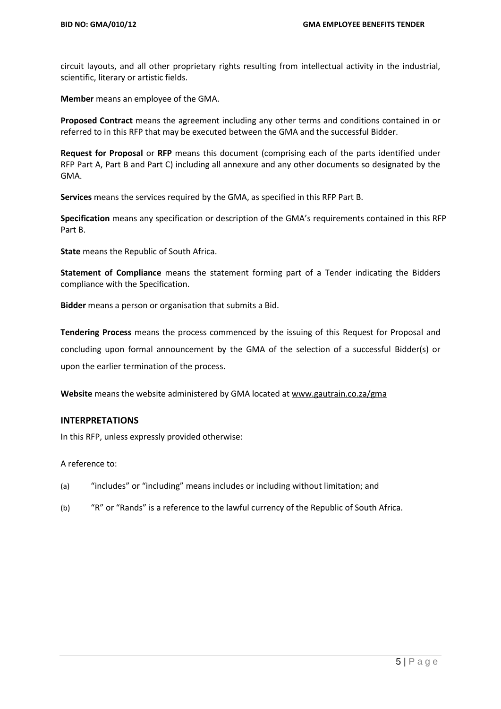circuit layouts, and all other proprietary rights resulting from intellectual activity in the industrial, scientific, literary or artistic fields.

**Member** means an employee of the GMA.

**Proposed Contract** means the agreement including any other terms and conditions contained in or referred to in this RFP that may be executed between the GMA and the successful Bidder.

**Request for Proposal** or **RFP** means this document (comprising each of the parts identified under RFP Part A, Part B and Part C) including all annexure and any other documents so designated by the GMA.

**Services** means the services required by the GMA, as specified in this RFP Part B.

**Specification** means any specification or description of the GMA's requirements contained in this RFP Part B.

**State** means the Republic of South Africa.

**Statement of Compliance** means the statement forming part of a Tender indicating the Bidders compliance with the Specification.

**Bidder** means a person or organisation that submits a Bid.

**Tendering Process** means the process commenced by the issuing of this Request for Proposal and concluding upon formal announcement by the GMA of the selection of a successful Bidder(s) or upon the earlier termination of the process.

**Website** means the website administered by GMA located a[t www.gautrain.co.za/](http://www.gautrain.co.za/)gma

#### **INTERPRETATIONS**

In this RFP, unless expressly provided otherwise:

A reference to:

- (a) "includes" or "including" means includes or including without limitation; and
- (b) "R" or "Rands" is a reference to the lawful currency of the Republic of South Africa.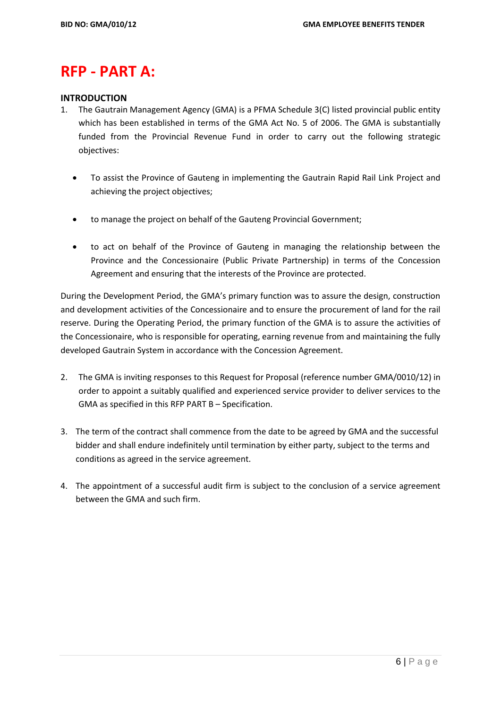# **RFP - PART A:**

## **INTRODUCTION**

- 1. The Gautrain Management Agency (GMA) is a PFMA Schedule 3(C) listed provincial public entity which has been established in terms of the GMA Act No. 5 of 2006. The GMA is substantially funded from the Provincial Revenue Fund in order to carry out the following strategic objectives:
	- To assist the Province of Gauteng in implementing the Gautrain Rapid Rail Link Project and achieving the project objectives;
	- to manage the project on behalf of the Gauteng Provincial Government;
	- to act on behalf of the Province of Gauteng in managing the relationship between the Province and the Concessionaire (Public Private Partnership) in terms of the Concession Agreement and ensuring that the interests of the Province are protected.

During the Development Period, the GMA's primary function was to assure the design, construction and development activities of the Concessionaire and to ensure the procurement of land for the rail reserve. During the Operating Period, the primary function of the GMA is to assure the activities of the Concessionaire, who is responsible for operating, earning revenue from and maintaining the fully developed Gautrain System in accordance with the Concession Agreement.

- 2. The GMA is inviting responses to this Request for Proposal (reference number GMA/0010/12) in order to appoint a suitably qualified and experienced service provider to deliver services to the GMA as specified in this RFP PART B – Specification.
- 3. The term of the contract shall commence from the date to be agreed by GMA and the successful bidder and shall endure indefinitely until termination by either party, subject to the terms and conditions as agreed in the service agreement.
- 4. The appointment of a successful audit firm is subject to the conclusion of a service agreement between the GMA and such firm.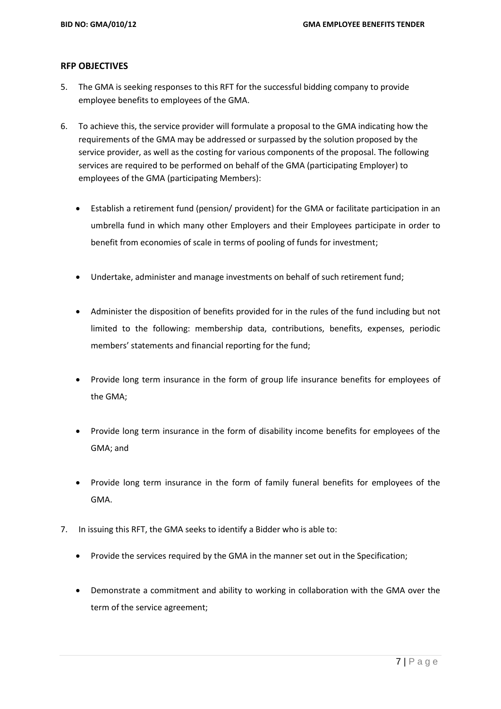#### **RFP OBJECTIVES**

- 5. The GMA is seeking responses to this RFT for the successful bidding company to provide employee benefits to employees of the GMA.
- 6. To achieve this, the service provider will formulate a proposal to the GMA indicating how the requirements of the GMA may be addressed or surpassed by the solution proposed by the service provider, as well as the costing for various components of the proposal. The following services are required to be performed on behalf of the GMA (participating Employer) to employees of the GMA (participating Members):
	- Establish a retirement fund (pension/ provident) for the GMA or facilitate participation in an umbrella fund in which many other Employers and their Employees participate in order to benefit from economies of scale in terms of pooling of funds for investment;
	- Undertake, administer and manage investments on behalf of such retirement fund;
	- Administer the disposition of benefits provided for in the rules of the fund including but not limited to the following: membership data, contributions, benefits, expenses, periodic members' statements and financial reporting for the fund;
	- Provide long term insurance in the form of group life insurance benefits for employees of the GMA;
	- Provide long term insurance in the form of disability income benefits for employees of the GMA; and
	- Provide long term insurance in the form of family funeral benefits for employees of the GMA.
- 7. In issuing this RFT, the GMA seeks to identify a Bidder who is able to:
	- Provide the services required by the GMA in the manner set out in the Specification;
	- Demonstrate a commitment and ability to working in collaboration with the GMA over the term of the service agreement;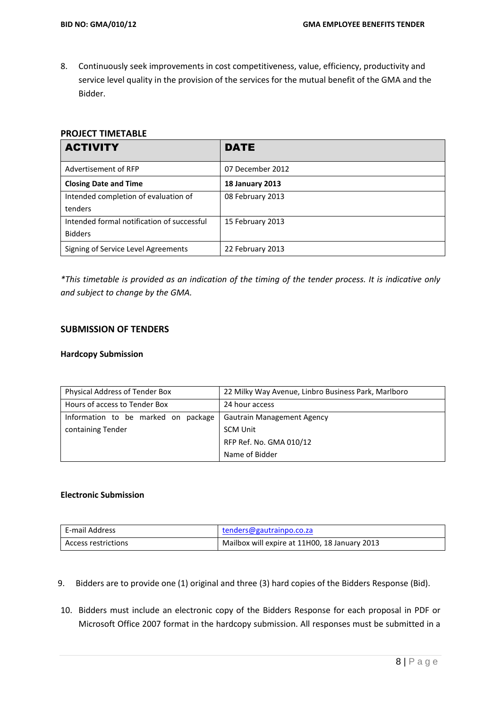8. Continuously seek improvements in cost competitiveness, value, efficiency, productivity and service level quality in the provision of the services for the mutual benefit of the GMA and the Bidder.

## **PROJECT TIMETABLE**

| <b>ACTIVITY</b>                            | DATE                   |
|--------------------------------------------|------------------------|
| Advertisement of RFP                       | 07 December 2012       |
| <b>Closing Date and Time</b>               | <b>18 January 2013</b> |
| Intended completion of evaluation of       | 08 February 2013       |
| tenders                                    |                        |
| Intended formal notification of successful | 15 February 2013       |
| <b>Bidders</b>                             |                        |
| Signing of Service Level Agreements        | 22 February 2013       |

*\*This timetable is provided as an indication of the timing of the tender process. It is indicative only and subject to change by the GMA.* 

# **SUBMISSION OF TENDERS**

#### **Hardcopy Submission**

| Physical Address of Tender Box      | 22 Milky Way Avenue, Linbro Business Park, Marlboro |
|-------------------------------------|-----------------------------------------------------|
| Hours of access to Tender Box       | 24 hour access                                      |
| Information to be marked on package | <b>Gautrain Management Agency</b>                   |
| containing Tender                   | <b>SCM Unit</b>                                     |
|                                     | RFP Ref. No. GMA 010/12                             |
|                                     | Name of Bidder                                      |

#### **Electronic Submission**

| E-mail Address      | tenders@gautrainpo.co.za                      |
|---------------------|-----------------------------------------------|
| Access restrictions | Mailbox will expire at 11H00, 18 January 2013 |

- 9. Bidders are to provide one (1) original and three (3) hard copies of the Bidders Response (Bid).
- 10. Bidders must include an electronic copy of the Bidders Response for each proposal in PDF or Microsoft Office 2007 format in the hardcopy submission. All responses must be submitted in a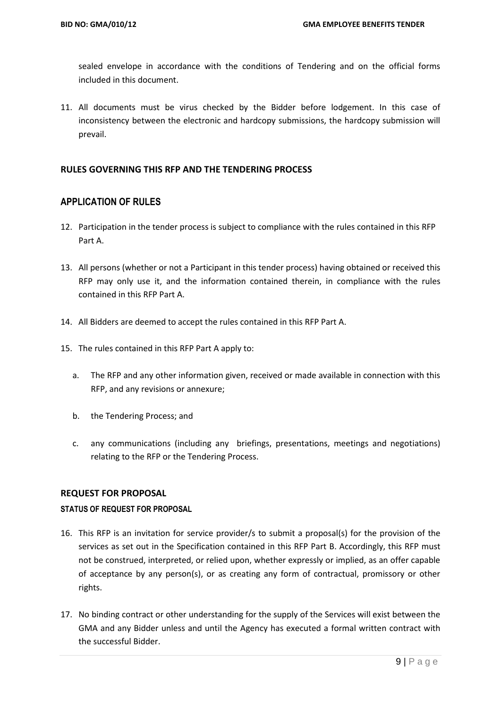sealed envelope in accordance with the conditions of Tendering and on the official forms included in this document.

11. All documents must be virus checked by the Bidder before lodgement. In this case of inconsistency between the electronic and hardcopy submissions, the hardcopy submission will prevail.

#### **RULES GOVERNING THIS RFP AND THE TENDERING PROCESS**

## **APPLICATION OF RULES**

- 12. Participation in the tender process is subject to compliance with the rules contained in this RFP Part A.
- 13. All persons (whether or not a Participant in this tender process) having obtained or received this RFP may only use it, and the information contained therein, in compliance with the rules contained in this RFP Part A.
- 14. All Bidders are deemed to accept the rules contained in this RFP Part A.
- 15. The rules contained in this RFP Part A apply to:
	- a. The RFP and any other information given, received or made available in connection with this RFP, and any revisions or annexure;
	- b. the Tendering Process; and
	- c. any communications (including any briefings, presentations, meetings and negotiations) relating to the RFP or the Tendering Process.

#### **REQUEST FOR PROPOSAL**

#### **STATUS OF REQUEST FOR PROPOSAL**

- 16. This RFP is an invitation for service provider/s to submit a proposal(s) for the provision of the services as set out in the Specification contained in this RFP Part B. Accordingly, this RFP must not be construed, interpreted, or relied upon, whether expressly or implied, as an offer capable of acceptance by any person(s), or as creating any form of contractual, promissory or other rights.
- 17. No binding contract or other understanding for the supply of the Services will exist between the GMA and any Bidder unless and until the Agency has executed a formal written contract with the successful Bidder.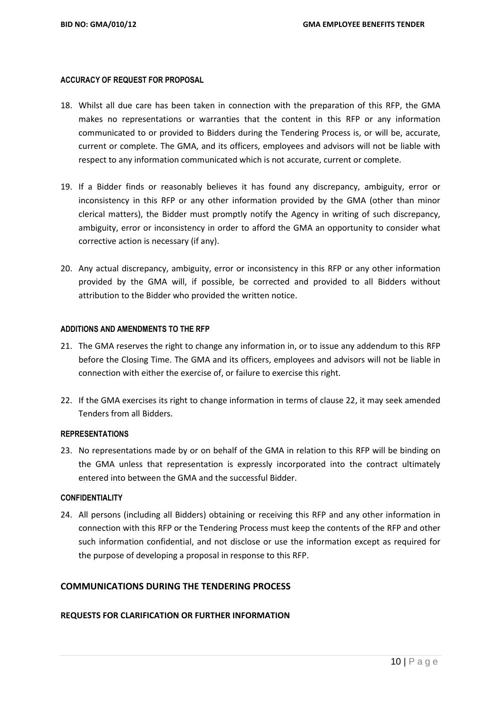#### **ACCURACY OF REQUEST FOR PROPOSAL**

- 18. Whilst all due care has been taken in connection with the preparation of this RFP, the GMA makes no representations or warranties that the content in this RFP or any information communicated to or provided to Bidders during the Tendering Process is, or will be, accurate, current or complete. The GMA, and its officers, employees and advisors will not be liable with respect to any information communicated which is not accurate, current or complete.
- 19. If a Bidder finds or reasonably believes it has found any discrepancy, ambiguity, error or inconsistency in this RFP or any other information provided by the GMA (other than minor clerical matters), the Bidder must promptly notify the Agency in writing of such discrepancy, ambiguity, error or inconsistency in order to afford the GMA an opportunity to consider what corrective action is necessary (if any).
- 20. Any actual discrepancy, ambiguity, error or inconsistency in this RFP or any other information provided by the GMA will, if possible, be corrected and provided to all Bidders without attribution to the Bidder who provided the written notice.

#### **ADDITIONS AND AMENDMENTS TO THE RFP**

- 21. The GMA reserves the right to change any information in, or to issue any addendum to this RFP before the Closing Time. The GMA and its officers, employees and advisors will not be liable in connection with either the exercise of, or failure to exercise this right.
- 22. If the GMA exercises its right to change information in terms of clause 22, it may seek amended Tenders from all Bidders.

#### **REPRESENTATIONS**

23. No representations made by or on behalf of the GMA in relation to this RFP will be binding on the GMA unless that representation is expressly incorporated into the contract ultimately entered into between the GMA and the successful Bidder.

#### **CONFIDENTIALITY**

24. All persons (including all Bidders) obtaining or receiving this RFP and any other information in connection with this RFP or the Tendering Process must keep the contents of the RFP and other such information confidential, and not disclose or use the information except as required for the purpose of developing a proposal in response to this RFP.

### **COMMUNICATIONS DURING THE TENDERING PROCESS**

#### **REQUESTS FOR CLARIFICATION OR FURTHER INFORMATION**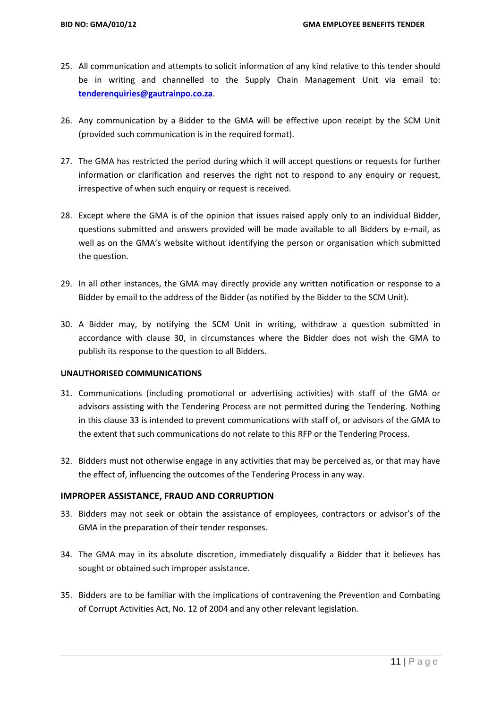- 25. All communication and attempts to solicit information of any kind relative to this tender should be in writing and channelled to the Supply Chain Management Unit via email to: **[tenderenquiries@gautrainpo.co.za](mailto:tenderenquiries@gautrainpo.co.za)**.
- 26. Any communication by a Bidder to the GMA will be effective upon receipt by the SCM Unit (provided such communication is in the required format).
- 27. The GMA has restricted the period during which it will accept questions or requests for further information or clarification and reserves the right not to respond to any enquiry or request, irrespective of when such enquiry or request is received.
- 28. Except where the GMA is of the opinion that issues raised apply only to an individual Bidder, questions submitted and answers provided will be made available to all Bidders by e-mail, as well as on the GMA's website without identifying the person or organisation which submitted the question.
- 29. In all other instances, the GMA may directly provide any written notification or response to a Bidder by email to the address of the Bidder (as notified by the Bidder to the SCM Unit).
- 30. A Bidder may, by notifying the SCM Unit in writing, withdraw a question submitted in accordance with clause 30, in circumstances where the Bidder does not wish the GMA to publish its response to the question to all Bidders.

#### **UNAUTHORISED COMMUNICATIONS**

- 31. Communications (including promotional or advertising activities) with staff of the GMA or advisors assisting with the Tendering Process are not permitted during the Tendering. Nothing in this clause 33 is intended to prevent communications with staff of, or advisors of the GMA to the extent that such communications do not relate to this RFP or the Tendering Process.
- 32. Bidders must not otherwise engage in any activities that may be perceived as, or that may have the effect of, influencing the outcomes of the Tendering Process in any way.

#### **IMPROPER ASSISTANCE, FRAUD AND CORRUPTION**

- 33. Bidders may not seek or obtain the assistance of employees, contractors or advisor's of the GMA in the preparation of their tender responses.
- 34. The GMA may in its absolute discretion, immediately disqualify a Bidder that it believes has sought or obtained such improper assistance.
- 35. Bidders are to be familiar with the implications of contravening the Prevention and Combating of Corrupt Activities Act, No. 12 of 2004 and any other relevant legislation.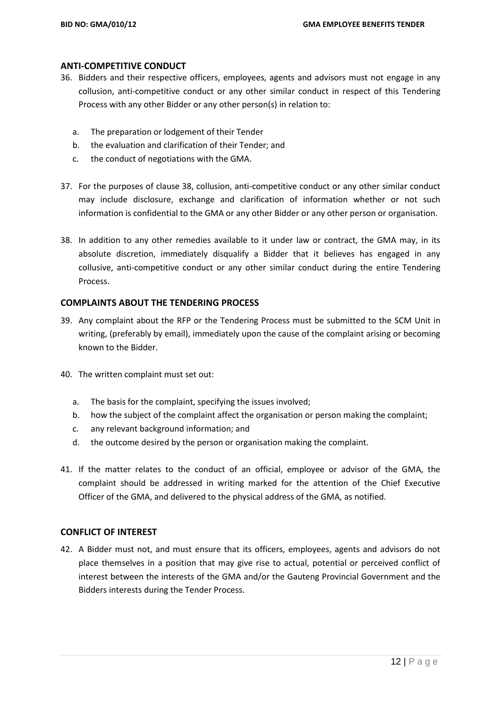### **ANTI-COMPETITIVE CONDUCT**

- 36. Bidders and their respective officers, employees, agents and advisors must not engage in any collusion, anti-competitive conduct or any other similar conduct in respect of this Tendering Process with any other Bidder or any other person(s) in relation to:
	- a. The preparation or lodgement of their Tender
	- b. the evaluation and clarification of their Tender; and
	- c. the conduct of negotiations with the GMA.
- 37. For the purposes of clause 38, collusion, anti-competitive conduct or any other similar conduct may include disclosure, exchange and clarification of information whether or not such information is confidential to the GMA or any other Bidder or any other person or organisation.
- 38. In addition to any other remedies available to it under law or contract, the GMA may, in its absolute discretion, immediately disqualify a Bidder that it believes has engaged in any collusive, anti-competitive conduct or any other similar conduct during the entire Tendering Process.

#### **COMPLAINTS ABOUT THE TENDERING PROCESS**

- 39. Any complaint about the RFP or the Tendering Process must be submitted to the SCM Unit in writing, (preferably by email), immediately upon the cause of the complaint arising or becoming known to the Bidder.
- 40. The written complaint must set out:
	- a. The basis for the complaint, specifying the issues involved;
	- b. how the subject of the complaint affect the organisation or person making the complaint;
	- c. any relevant background information; and
	- d. the outcome desired by the person or organisation making the complaint.
- 41. If the matter relates to the conduct of an official, employee or advisor of the GMA, the complaint should be addressed in writing marked for the attention of the Chief Executive Officer of the GMA, and delivered to the physical address of the GMA, as notified.

#### **CONFLICT OF INTEREST**

42. A Bidder must not, and must ensure that its officers, employees, agents and advisors do not place themselves in a position that may give rise to actual, potential or perceived conflict of interest between the interests of the GMA and/or the Gauteng Provincial Government and the Bidders interests during the Tender Process.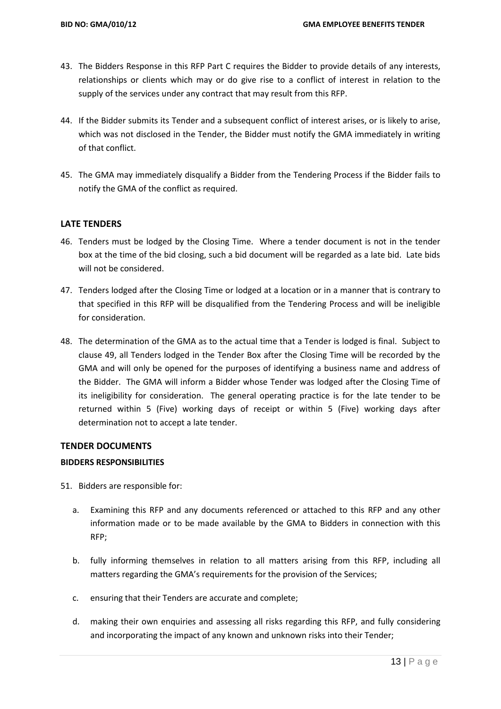- 43. The Bidders Response in this RFP Part C requires the Bidder to provide details of any interests, relationships or clients which may or do give rise to a conflict of interest in relation to the supply of the services under any contract that may result from this RFP.
- 44. If the Bidder submits its Tender and a subsequent conflict of interest arises, or is likely to arise, which was not disclosed in the Tender, the Bidder must notify the GMA immediately in writing of that conflict.
- 45. The GMA may immediately disqualify a Bidder from the Tendering Process if the Bidder fails to notify the GMA of the conflict as required.

## **LATE TENDERS**

- 46. Tenders must be lodged by the Closing Time. Where a tender document is not in the tender box at the time of the bid closing, such a bid document will be regarded as a late bid. Late bids will not be considered.
- 47. Tenders lodged after the Closing Time or lodged at a location or in a manner that is contrary to that specified in this RFP will be disqualified from the Tendering Process and will be ineligible for consideration.
- 48. The determination of the GMA as to the actual time that a Tender is lodged is final. Subject to clause 49, all Tenders lodged in the Tender Box after the Closing Time will be recorded by the GMA and will only be opened for the purposes of identifying a business name and address of the Bidder. The GMA will inform a Bidder whose Tender was lodged after the Closing Time of its ineligibility for consideration. The general operating practice is for the late tender to be returned within 5 (Five) working days of receipt or within 5 (Five) working days after determination not to accept a late tender.

#### **TENDER DOCUMENTS**

#### **BIDDERS RESPONSIBILITIES**

- 51. Bidders are responsible for:
	- a. Examining this RFP and any documents referenced or attached to this RFP and any other information made or to be made available by the GMA to Bidders in connection with this RFP;
	- b. fully informing themselves in relation to all matters arising from this RFP, including all matters regarding the GMA's requirements for the provision of the Services;
	- c. ensuring that their Tenders are accurate and complete;
	- d. making their own enquiries and assessing all risks regarding this RFP, and fully considering and incorporating the impact of any known and unknown risks into their Tender;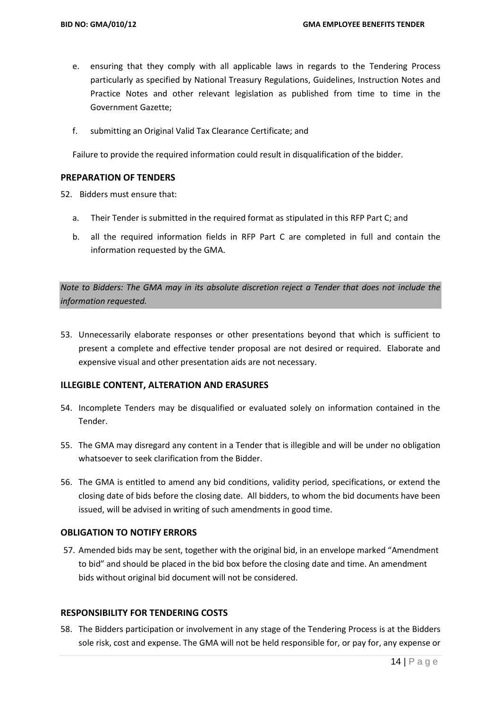- e. ensuring that they comply with all applicable laws in regards to the Tendering Process particularly as specified by National Treasury Regulations, Guidelines, Instruction Notes and Practice Notes and other relevant legislation as published from time to time in the Government Gazette;
- f. submitting an Original Valid Tax Clearance Certificate; and

Failure to provide the required information could result in disqualification of the bidder.

#### **PREPARATION OF TENDERS**

52. Bidders must ensure that:

- a. Their Tender is submitted in the required format as stipulated in this RFP Part C; and
- b. all the required information fields in RFP Part C are completed in full and contain the information requested by the GMA.

*Note to Bidders: The GMA may in its absolute discretion reject a Tender that does not include the information requested.*

53. Unnecessarily elaborate responses or other presentations beyond that which is sufficient to present a complete and effective tender proposal are not desired or required. Elaborate and expensive visual and other presentation aids are not necessary.

# **ILLEGIBLE CONTENT, ALTERATION AND ERASURES**

- 54. Incomplete Tenders may be disqualified or evaluated solely on information contained in the Tender.
- 55. The GMA may disregard any content in a Tender that is illegible and will be under no obligation whatsoever to seek clarification from the Bidder.
- 56. The GMA is entitled to amend any bid conditions, validity period, specifications, or extend the closing date of bids before the closing date. All bidders, to whom the bid documents have been issued, will be advised in writing of such amendments in good time.

#### **OBLIGATION TO NOTIFY ERRORS**

57. Amended bids may be sent, together with the original bid, in an envelope marked "Amendment to bid" and should be placed in the bid box before the closing date and time. An amendment bids without original bid document will not be considered.

#### **RESPONSIBILITY FOR TENDERING COSTS**

58. The Bidders participation or involvement in any stage of the Tendering Process is at the Bidders sole risk, cost and expense. The GMA will not be held responsible for, or pay for, any expense or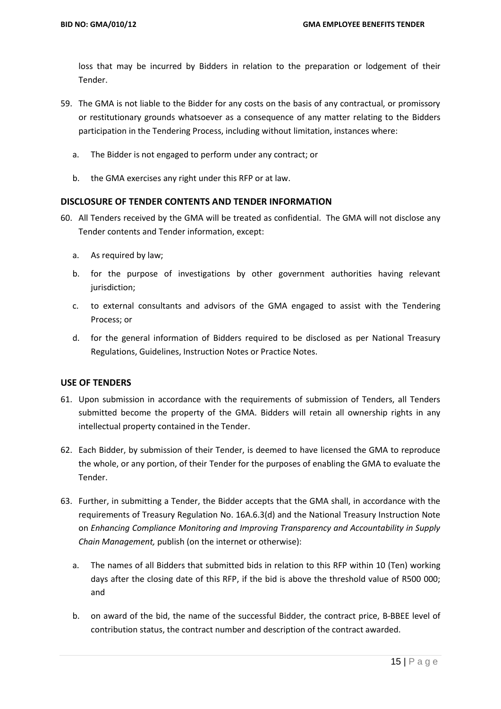loss that may be incurred by Bidders in relation to the preparation or lodgement of their Tender.

- 59. The GMA is not liable to the Bidder for any costs on the basis of any contractual, or promissory or restitutionary grounds whatsoever as a consequence of any matter relating to the Bidders participation in the Tendering Process, including without limitation, instances where:
	- a. The Bidder is not engaged to perform under any contract; or
	- b. the GMA exercises any right under this RFP or at law.

#### **DISCLOSURE OF TENDER CONTENTS AND TENDER INFORMATION**

- 60. All Tenders received by the GMA will be treated as confidential. The GMA will not disclose any Tender contents and Tender information, except:
	- a. As required by law;
	- b. for the purpose of investigations by other government authorities having relevant jurisdiction;
	- c. to external consultants and advisors of the GMA engaged to assist with the Tendering Process; or
	- d. for the general information of Bidders required to be disclosed as per National Treasury Regulations, Guidelines, Instruction Notes or Practice Notes.

#### **USE OF TENDERS**

- 61. Upon submission in accordance with the requirements of submission of Tenders, all Tenders submitted become the property of the GMA. Bidders will retain all ownership rights in any intellectual property contained in the Tender.
- 62. Each Bidder, by submission of their Tender, is deemed to have licensed the GMA to reproduce the whole, or any portion, of their Tender for the purposes of enabling the GMA to evaluate the Tender.
- 63. Further, in submitting a Tender, the Bidder accepts that the GMA shall, in accordance with the requirements of Treasury Regulation No. 16A.6.3(d) and the National Treasury Instruction Note on *Enhancing Compliance Monitoring and Improving Transparency and Accountability in Supply Chain Management,* publish (on the internet or otherwise):
	- a. The names of all Bidders that submitted bids in relation to this RFP within 10 (Ten) working days after the closing date of this RFP, if the bid is above the threshold value of R500 000; and
	- b. on award of the bid, the name of the successful Bidder, the contract price, B-BBEE level of contribution status, the contract number and description of the contract awarded.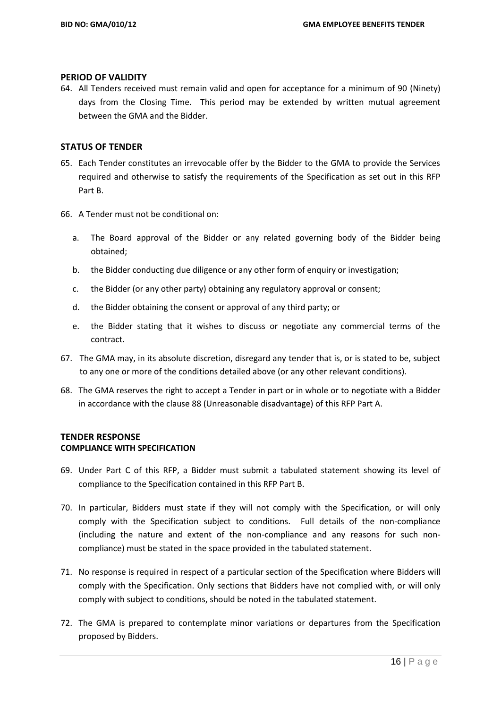#### **PERIOD OF VALIDITY**

64. All Tenders received must remain valid and open for acceptance for a minimum of 90 (Ninety) days from the Closing Time. This period may be extended by written mutual agreement between the GMA and the Bidder.

#### **STATUS OF TENDER**

- 65. Each Tender constitutes an irrevocable offer by the Bidder to the GMA to provide the Services required and otherwise to satisfy the requirements of the Specification as set out in this RFP Part B.
- 66. A Tender must not be conditional on:
	- a. The Board approval of the Bidder or any related governing body of the Bidder being obtained;
	- b. the Bidder conducting due diligence or any other form of enquiry or investigation;
	- c. the Bidder (or any other party) obtaining any regulatory approval or consent;
	- d. the Bidder obtaining the consent or approval of any third party; or
	- e. the Bidder stating that it wishes to discuss or negotiate any commercial terms of the contract.
- 67. The GMA may, in its absolute discretion, disregard any tender that is, or is stated to be, subject to any one or more of the conditions detailed above (or any other relevant conditions).
- 68. The GMA reserves the right to accept a Tender in part or in whole or to negotiate with a Bidder in accordance with the clause 88 (Unreasonable disadvantage) of this RFP Part A.

#### **TENDER RESPONSE COMPLIANCE WITH SPECIFICATION**

- 69. Under Part C of this RFP, a Bidder must submit a tabulated statement showing its level of compliance to the Specification contained in this RFP Part B.
- 70. In particular, Bidders must state if they will not comply with the Specification, or will only comply with the Specification subject to conditions. Full details of the non-compliance (including the nature and extent of the non-compliance and any reasons for such noncompliance) must be stated in the space provided in the tabulated statement.
- 71. No response is required in respect of a particular section of the Specification where Bidders will comply with the Specification. Only sections that Bidders have not complied with, or will only comply with subject to conditions, should be noted in the tabulated statement.
- 72. The GMA is prepared to contemplate minor variations or departures from the Specification proposed by Bidders.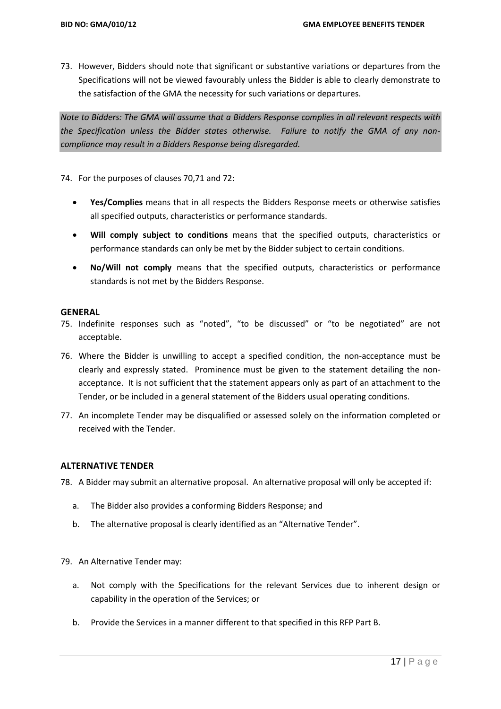73. However, Bidders should note that significant or substantive variations or departures from the Specifications will not be viewed favourably unless the Bidder is able to clearly demonstrate to the satisfaction of the GMA the necessity for such variations or departures.

*Note to Bidders: The GMA will assume that a Bidders Response complies in all relevant respects with the Specification unless the Bidder states otherwise. Failure to notify the GMA of any noncompliance may result in a Bidders Response being disregarded.*

74. For the purposes of clauses 70,71 and 72:

- **Yes/Complies** means that in all respects the Bidders Response meets or otherwise satisfies all specified outputs, characteristics or performance standards.
- **Will comply subject to conditions** means that the specified outputs, characteristics or performance standards can only be met by the Bidder subject to certain conditions.
- **No/Will not comply** means that the specified outputs, characteristics or performance standards is not met by the Bidders Response.

#### **GENERAL**

- 75. Indefinite responses such as "noted", "to be discussed" or "to be negotiated" are not acceptable.
- 76. Where the Bidder is unwilling to accept a specified condition, the non-acceptance must be clearly and expressly stated. Prominence must be given to the statement detailing the nonacceptance. It is not sufficient that the statement appears only as part of an attachment to the Tender, or be included in a general statement of the Bidders usual operating conditions.
- 77. An incomplete Tender may be disqualified or assessed solely on the information completed or received with the Tender.

#### **ALTERNATIVE TENDER**

- 78. A Bidder may submit an alternative proposal. An alternative proposal will only be accepted if:
	- a. The Bidder also provides a conforming Bidders Response; and
	- b. The alternative proposal is clearly identified as an "Alternative Tender".
- 79. An Alternative Tender may:
	- a. Not comply with the Specifications for the relevant Services due to inherent design or capability in the operation of the Services; or
	- b. Provide the Services in a manner different to that specified in this RFP Part B.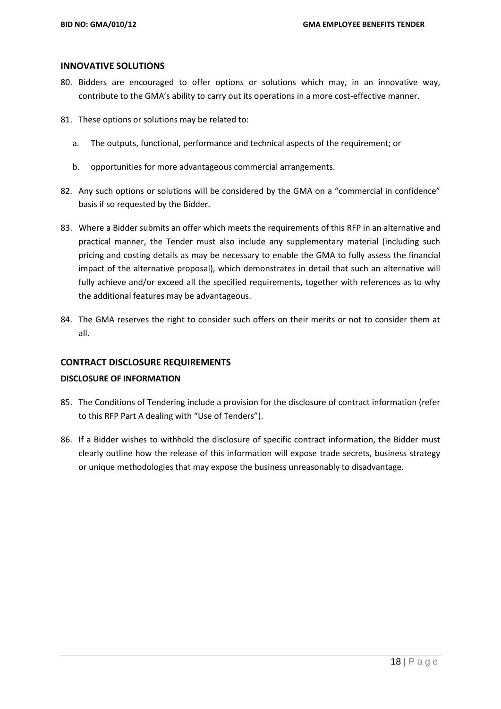#### **INNOVATIVE SOLUTIONS**

- 80. Bidders are encouraged to offer options or solutions which may, in an innovative way, contribute to the GMA's ability to carry out its operations in a more cost-effective manner.
- 81. These options or solutions may be related to:
	- a. The outputs, functional, performance and technical aspects of the requirement; or
	- b. opportunities for more advantageous commercial arrangements.
- 82. Any such options or solutions will be considered by the GMA on a "commercial in confidence" basis if so requested by the Bidder.
- 83. Where a Bidder submits an offer which meets the requirements of this RFP in an alternative and practical manner, the Tender must also include any supplementary material (including such pricing and costing details as may be necessary to enable the GMA to fully assess the financial impact of the alternative proposal), which demonstrates in detail that such an alternative will fully achieve and/or exceed all the specified requirements, together with references as to why the additional features may be advantageous.
- 84. The GMA reserves the right to consider such offers on their merits or not to consider them at all.

# **CONTRACT DISCLOSURE REQUIREMENTS**

#### **DISCLOSURE OF INFORMATION**

- 85. The Conditions of Tendering include a provision for the disclosure of contract information (refer to this RFP Part A dealing with "Use of Tenders").
- 86. If a Bidder wishes to withhold the disclosure of specific contract information, the Bidder must clearly outline how the release of this information will expose trade secrets, business strategy or unique methodologies that may expose the business unreasonably to disadvantage.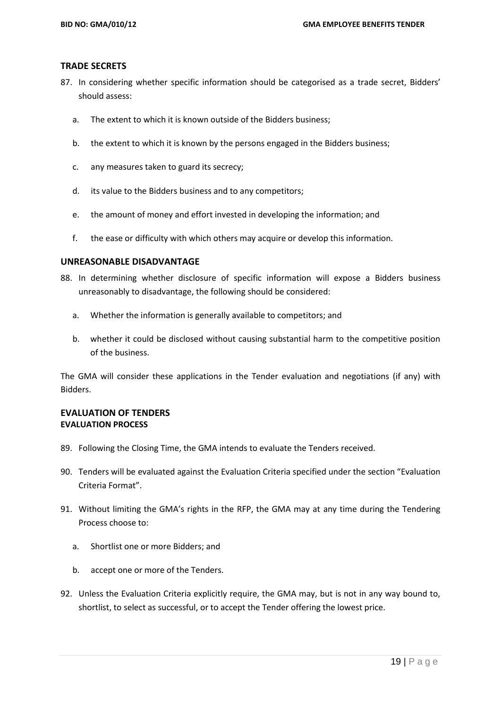#### **TRADE SECRETS**

- 87. In considering whether specific information should be categorised as a trade secret, Bidders' should assess:
	- a. The extent to which it is known outside of the Bidders business;
	- b. the extent to which it is known by the persons engaged in the Bidders business;
	- c. any measures taken to guard its secrecy;
	- d. its value to the Bidders business and to any competitors;
	- e. the amount of money and effort invested in developing the information; and
	- f. the ease or difficulty with which others may acquire or develop this information.

#### **UNREASONABLE DISADVANTAGE**

- 88. In determining whether disclosure of specific information will expose a Bidders business unreasonably to disadvantage, the following should be considered:
	- a. Whether the information is generally available to competitors; and
	- b. whether it could be disclosed without causing substantial harm to the competitive position of the business.

The GMA will consider these applications in the Tender evaluation and negotiations (if any) with Bidders.

# **EVALUATION OF TENDERS EVALUATION PROCESS**

- 89. Following the Closing Time, the GMA intends to evaluate the Tenders received.
- 90. Tenders will be evaluated against the Evaluation Criteria specified under the section "Evaluation Criteria Format".
- 91. Without limiting the GMA's rights in the RFP, the GMA may at any time during the Tendering Process choose to:
	- a. Shortlist one or more Bidders; and
	- b. accept one or more of the Tenders.
- 92. Unless the Evaluation Criteria explicitly require, the GMA may, but is not in any way bound to, shortlist, to select as successful, or to accept the Tender offering the lowest price.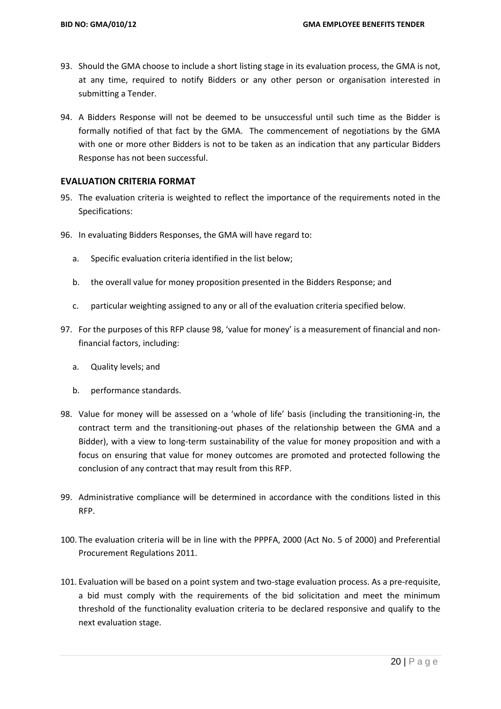- 93. Should the GMA choose to include a short listing stage in its evaluation process, the GMA is not, at any time, required to notify Bidders or any other person or organisation interested in submitting a Tender.
- 94. A Bidders Response will not be deemed to be unsuccessful until such time as the Bidder is formally notified of that fact by the GMA. The commencement of negotiations by the GMA with one or more other Bidders is not to be taken as an indication that any particular Bidders Response has not been successful.

# **EVALUATION CRITERIA FORMAT**

- 95. The evaluation criteria is weighted to reflect the importance of the requirements noted in the Specifications:
- 96. In evaluating Bidders Responses, the GMA will have regard to:
	- a. Specific evaluation criteria identified in the list below;
	- b. the overall value for money proposition presented in the Bidders Response; and
	- c. particular weighting assigned to any or all of the evaluation criteria specified below.
- 97. For the purposes of this RFP clause 98, 'value for money' is a measurement of financial and nonfinancial factors, including:
	- a. Quality levels; and
	- b. performance standards.
- 98. Value for money will be assessed on a 'whole of life' basis (including the transitioning-in, the contract term and the transitioning-out phases of the relationship between the GMA and a Bidder), with a view to long-term sustainability of the value for money proposition and with a focus on ensuring that value for money outcomes are promoted and protected following the conclusion of any contract that may result from this RFP.
- 99. Administrative compliance will be determined in accordance with the conditions listed in this RFP.
- 100. The evaluation criteria will be in line with the PPPFA, 2000 (Act No. 5 of 2000) and Preferential Procurement Regulations 2011.
- 101. Evaluation will be based on a point system and two-stage evaluation process. As a pre-requisite, a bid must comply with the requirements of the bid solicitation and meet the minimum threshold of the functionality evaluation criteria to be declared responsive and qualify to the next evaluation stage.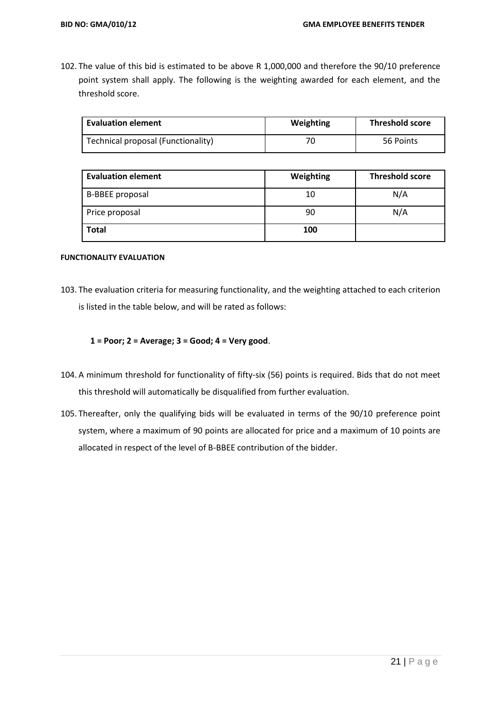102. The value of this bid is estimated to be above R 1,000,000 and therefore the 90/10 preference point system shall apply. The following is the weighting awarded for each element, and the threshold score.

| <b>Evaluation element</b>          | Weighting | <b>Threshold score</b> |
|------------------------------------|-----------|------------------------|
| Technical proposal (Functionality) | 70        | 56 Points              |

| <b>Evaluation element</b> | Weighting | <b>Threshold score</b><br>N/A<br>N/A |  |  |
|---------------------------|-----------|--------------------------------------|--|--|
| <b>B-BBEE proposal</b>    | 10        |                                      |  |  |
| Price proposal            | 90        |                                      |  |  |
| <b>Total</b>              | 100       |                                      |  |  |

#### **FUNCTIONALITY EVALUATION**

103. The evaluation criteria for measuring functionality, and the weighting attached to each criterion is listed in the table below, and will be rated as follows:

**1 = Poor; 2 = Average; 3 = Good; 4 = Very good**.

- 104. A minimum threshold for functionality of fifty-six (56) points is required. Bids that do not meet this threshold will automatically be disqualified from further evaluation.
- 105. Thereafter, only the qualifying bids will be evaluated in terms of the 90/10 preference point system, where a maximum of 90 points are allocated for price and a maximum of 10 points are allocated in respect of the level of B-BBEE contribution of the bidder.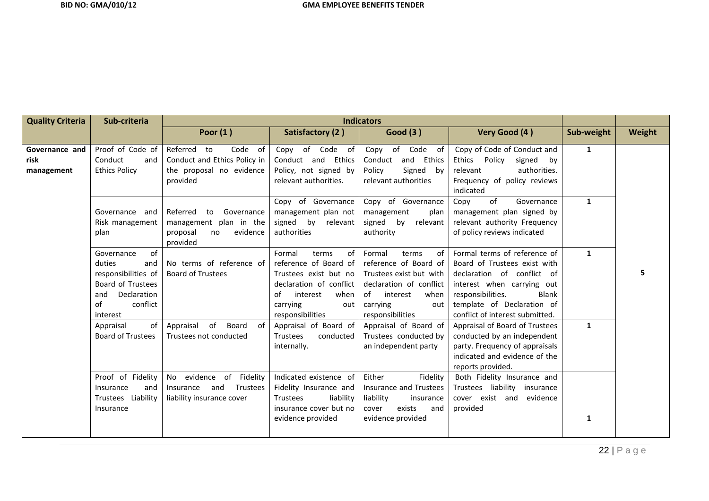| <b>Quality Criteria</b>              | Sub-criteria                                                                                                                      | <b>Indicators</b>                                                                                 |                                                                                                                                                                     |                                                                                                                                                                       |                                                                                                                                                                                                                                |              |        |
|--------------------------------------|-----------------------------------------------------------------------------------------------------------------------------------|---------------------------------------------------------------------------------------------------|---------------------------------------------------------------------------------------------------------------------------------------------------------------------|-----------------------------------------------------------------------------------------------------------------------------------------------------------------------|--------------------------------------------------------------------------------------------------------------------------------------------------------------------------------------------------------------------------------|--------------|--------|
|                                      |                                                                                                                                   | Poor $(1)$                                                                                        | Satisfactory (2)                                                                                                                                                    | <b>Good (3)</b>                                                                                                                                                       | Very Good (4)                                                                                                                                                                                                                  | Sub-weight   | Weight |
| Governance and<br>risk<br>management | Proof of Code of<br>Conduct<br>and<br><b>Ethics Policy</b>                                                                        | Code of<br>Referred<br>to<br>Conduct and Ethics Policy in<br>the proposal no evidence<br>provided | Copy of Code of<br>Conduct and Ethics<br>Policy, not signed by<br>relevant authorities.                                                                             | Copy of Code of<br>and Ethics<br>Conduct<br>Signed by<br>Policy<br>relevant authorities                                                                               | Copy of Code of Conduct and<br>Ethics<br>Policy<br>signed<br>bv<br>relevant<br>authorities.<br>Frequency of policy reviews<br>indicated                                                                                        | $\mathbf{1}$ |        |
|                                      | Governance and<br>Risk management<br>plan                                                                                         | Referred<br>Governance<br>to<br>management plan in the<br>proposal<br>evidence<br>no<br>provided  | Copy of Governance<br>management plan not<br>signed by<br>relevant<br>authorities                                                                                   | Copy of Governance<br>management<br>plan<br>signed<br>by<br>relevant<br>authority                                                                                     | of<br>Copy<br>Governance<br>management plan signed by<br>relevant authority Frequency<br>of policy reviews indicated                                                                                                           | $\mathbf{1}$ |        |
|                                      | of<br>Governance<br>duties<br>and<br>responsibilities of<br>Board of Trustees<br>Declaration<br>and<br>conflict<br>of<br>interest | No terms of reference of<br><b>Board of Trustees</b>                                              | Formal<br>of<br>terms<br>reference of Board of<br>Trustees exist but no<br>declaration of conflict<br>of<br>interest<br>when<br>carrying<br>out<br>responsibilities | Formal<br>of<br>terms<br>reference of Board of<br>Trustees exist but with<br>declaration of conflict<br>of<br>interest<br>when<br>carrying<br>out<br>responsibilities | Formal terms of reference of<br>Board of Trustees exist with<br>declaration of conflict of<br>interest when carrying out<br>responsibilities.<br><b>Blank</b><br>template of Declaration of<br>conflict of interest submitted. | $\mathbf{1}$ |        |
|                                      | of<br>Appraisal<br><b>Board of Trustees</b>                                                                                       | of<br>Board<br>Appraisal<br>of<br>Trustees not conducted                                          | Appraisal of Board of<br>Trustees<br>conducted<br>internally.                                                                                                       | Appraisal of Board of<br>Trustees conducted by<br>an independent party                                                                                                | Appraisal of Board of Trustees<br>conducted by an independent<br>party. Frequency of appraisals<br>indicated and evidence of the<br>reports provided.                                                                          | $\mathbf{1}$ |        |
|                                      | Proof of Fidelity<br>Insurance<br>and<br>Trustees Liability<br>Insurance                                                          | No evidence of Fidelity<br>Insurance and<br>Trustees<br>liability insurance cover                 | Indicated existence of<br>Fidelity Insurance and<br>liability<br><b>Trustees</b><br>insurance cover but no<br>evidence provided                                     | Either<br>Fidelity<br>Insurance and Trustees<br>liability<br>insurance<br>exists<br>cover<br>and<br>evidence provided                                                 | Both Fidelity Insurance and<br>Trustees liability insurance<br>cover exist and evidence<br>provided                                                                                                                            | $\mathbf{1}$ |        |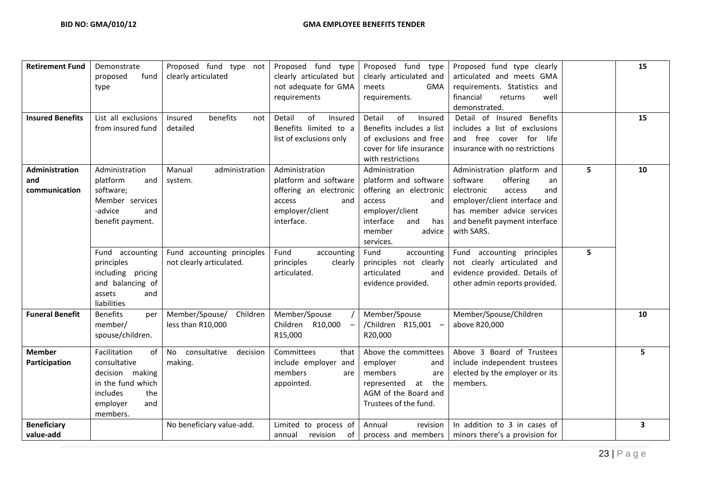| <b>Retirement Fund</b><br><b>Insured Benefits</b> | Demonstrate<br>fund<br>proposed<br>type<br>List all exclusions<br>from insured fund                                          | Proposed fund type not<br>clearly articulated<br>benefits<br>Insured<br>not<br>detailed | Proposed fund<br>type<br>clearly articulated but<br>not adequate for GMA<br>requirements<br>Detail<br>of<br>Insured<br>Benefits limited to a<br>list of exclusions only | Proposed fund type<br>clearly articulated and<br><b>GMA</b><br>meets<br>requirements.<br>Detail<br>of<br>Insured<br>Benefits includes a list<br>of exclusions and free<br>cover for life insurance<br>with restrictions | Proposed fund type clearly<br>articulated and meets GMA<br>requirements. Statistics and<br>financial<br>returns<br>well<br>demonstrated.<br>Detail of Insured Benefits<br>includes a list of exclusions<br>and free cover for life<br>insurance with no restrictions |   | 15<br>15 |
|---------------------------------------------------|------------------------------------------------------------------------------------------------------------------------------|-----------------------------------------------------------------------------------------|-------------------------------------------------------------------------------------------------------------------------------------------------------------------------|-------------------------------------------------------------------------------------------------------------------------------------------------------------------------------------------------------------------------|----------------------------------------------------------------------------------------------------------------------------------------------------------------------------------------------------------------------------------------------------------------------|---|----------|
| Administration<br>and<br>communication            | Administration<br>platform<br>and<br>software;<br>Member services<br>-advice<br>and<br>benefit payment.                      | Manual<br>administration<br>system.                                                     | Administration<br>platform and software<br>offering an electronic<br>access<br>and<br>employer/client<br>interface.                                                     | Administration<br>platform and software<br>offering an electronic<br>access<br>and<br>employer/client<br>interface<br>and<br>has<br>member<br>advice<br>services.                                                       | Administration platform and<br>software<br>offering<br>an<br>electronic<br>access<br>and<br>employer/client interface and<br>has member advice services<br>and benefit payment interface<br>with SARS.                                                               | 5 | 10       |
|                                                   | Fund accounting<br>principles<br>including pricing<br>and balancing of<br>assets<br>and<br>liabilities                       | Fund accounting principles<br>not clearly articulated.                                  | Fund<br>accounting<br>principles<br>clearly<br>articulated.                                                                                                             | Fund<br>accounting<br>principles not clearly<br>articulated<br>and<br>evidence provided.                                                                                                                                | accounting principles<br>Fund<br>not clearly articulated and<br>evidence provided. Details of<br>other admin reports provided.                                                                                                                                       | 5 |          |
| <b>Funeral Benefit</b>                            | <b>Benefits</b><br>per<br>member/<br>spouse/children.                                                                        | Member/Spouse/<br>Children<br>less than R10,000                                         | Member/Spouse<br>Children R10,000<br>$\overline{\phantom{m}}$<br>R15,000                                                                                                | Member/Spouse<br>/Children R15,001 -<br>R20,000                                                                                                                                                                         | Member/Spouse/Children<br>above R20,000                                                                                                                                                                                                                              |   | 10       |
| <b>Member</b><br>Participation                    | Facilitation<br>of<br>consultative<br>decision making<br>in the fund which<br>includes<br>the<br>employer<br>and<br>members. | consultative<br>No<br>decision<br>making.                                               | Committees<br>that<br>include employer and<br>members<br>are<br>appointed.                                                                                              | Above the committees<br>employer<br>and<br>members<br>are<br>the<br>represented<br>at<br>AGM of the Board and<br>Trustees of the fund.                                                                                  | Above 3 Board of Trustees<br>include independent trustees<br>elected by the employer or its<br>members.                                                                                                                                                              |   | 5        |
| <b>Beneficiary</b><br>value-add                   |                                                                                                                              | No beneficiary value-add.                                                               | Limited to process of<br>revision<br>of<br>annual                                                                                                                       | Annual<br>revision<br>process and members                                                                                                                                                                               | In addition to 3 in cases of<br>minors there's a provision for                                                                                                                                                                                                       |   | 3        |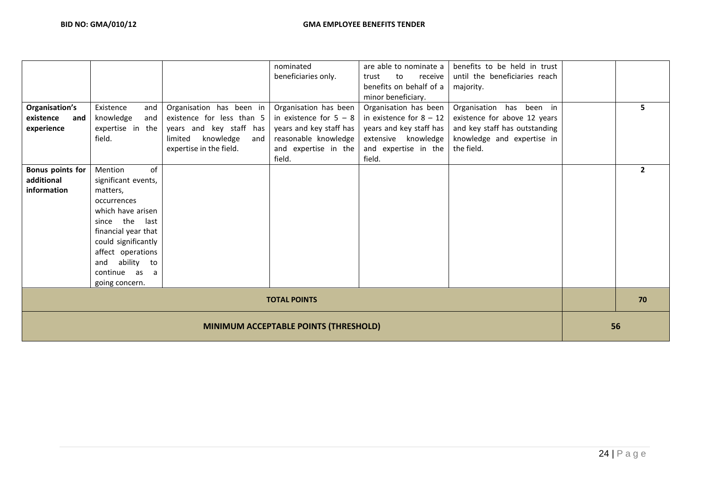|                                       |                     |                             | nominated<br>beneficiaries only. | are able to nominate a<br>to<br>trust<br>receive<br>benefits on behalf of a | benefits to be held in trust<br>until the beneficiaries reach<br>majority. |    |              |
|---------------------------------------|---------------------|-----------------------------|----------------------------------|-----------------------------------------------------------------------------|----------------------------------------------------------------------------|----|--------------|
| Organisation's                        | Existence<br>and    | Organisation has been in    | Organisation has been            | minor beneficiary.<br>Organisation has been                                 | Organisation has been in                                                   |    | 5            |
| existence<br>and                      | knowledge<br>and    | existence for less than 5   | in existence for $5 - 8$         | in existence for $8 - 12$                                                   | existence for above 12 years                                               |    |              |
| experience                            | expertise in the    | years and key staff has     | years and key staff has          | years and key staff has                                                     | and key staff has outstanding                                              |    |              |
|                                       | field.              | knowledge<br>limited<br>and | reasonable knowledge             | extensive knowledge                                                         | knowledge and expertise in                                                 |    |              |
|                                       |                     | expertise in the field.     | and expertise in the             | and expertise in the                                                        | the field.                                                                 |    |              |
|                                       |                     |                             | field.                           | field.                                                                      |                                                                            |    |              |
| <b>Bonus points for</b>               | of<br>Mention       |                             |                                  |                                                                             |                                                                            |    | $\mathbf{2}$ |
| additional                            | significant events, |                             |                                  |                                                                             |                                                                            |    |              |
| information                           | matters,            |                             |                                  |                                                                             |                                                                            |    |              |
|                                       | occurrences         |                             |                                  |                                                                             |                                                                            |    |              |
|                                       | which have arisen   |                             |                                  |                                                                             |                                                                            |    |              |
|                                       | since the<br>last   |                             |                                  |                                                                             |                                                                            |    |              |
|                                       | financial year that |                             |                                  |                                                                             |                                                                            |    |              |
|                                       | could significantly |                             |                                  |                                                                             |                                                                            |    |              |
|                                       | affect operations   |                             |                                  |                                                                             |                                                                            |    |              |
|                                       | ability to<br>and   |                             |                                  |                                                                             |                                                                            |    |              |
|                                       | continue as<br>a    |                             |                                  |                                                                             |                                                                            |    |              |
|                                       | going concern.      |                             |                                  |                                                                             |                                                                            |    |              |
| <b>TOTAL POINTS</b>                   |                     |                             |                                  |                                                                             |                                                                            | 70 |              |
| MINIMUM ACCEPTABLE POINTS (THRESHOLD) |                     |                             |                                  |                                                                             | 56                                                                         |    |              |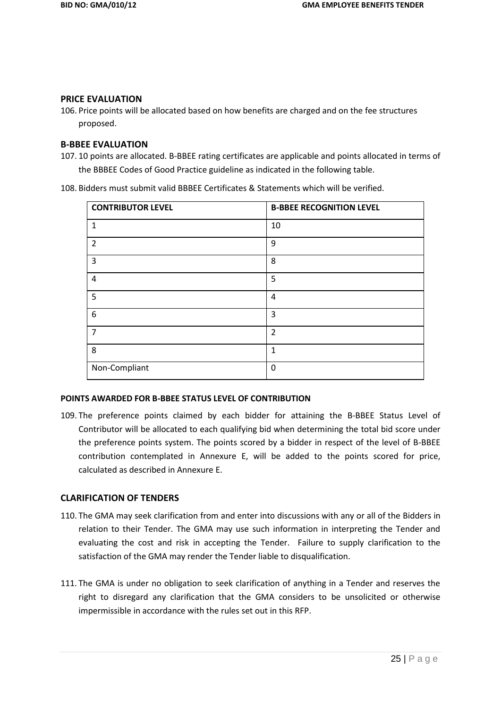#### **PRICE EVALUATION**

106. Price points will be allocated based on how benefits are charged and on the fee structures proposed.

# **B-BBEE EVALUATION**

107. 10 points are allocated. B-BBEE rating certificates are applicable and points allocated in terms of the BBBEE Codes of Good Practice guideline as indicated in the following table.

108. Bidders must submit valid BBBEE Certificates & Statements which will be verified.

| <b>CONTRIBUTOR LEVEL</b> | <b>B-BBEE RECOGNITION LEVEL</b> |
|--------------------------|---------------------------------|
| 1                        | 10                              |
| $\overline{2}$           | 9                               |
| $\overline{3}$           | 8                               |
| $\overline{4}$           | 5                               |
| 5                        | 4                               |
| 6                        | 3                               |
| $\overline{7}$           | $\overline{2}$                  |
| 8                        | 1                               |
| Non-Compliant            | $\Omega$                        |

#### **POINTS AWARDED FOR B-BBEE STATUS LEVEL OF CONTRIBUTION**

109. The preference points claimed by each bidder for attaining the B-BBEE Status Level of Contributor will be allocated to each qualifying bid when determining the total bid score under the preference points system. The points scored by a bidder in respect of the level of B-BBEE contribution contemplated in Annexure E, will be added to the points scored for price, calculated as described in Annexure E.

#### **CLARIFICATION OF TENDERS**

- 110. The GMA may seek clarification from and enter into discussions with any or all of the Bidders in relation to their Tender. The GMA may use such information in interpreting the Tender and evaluating the cost and risk in accepting the Tender. Failure to supply clarification to the satisfaction of the GMA may render the Tender liable to disqualification.
- 111. The GMA is under no obligation to seek clarification of anything in a Tender and reserves the right to disregard any clarification that the GMA considers to be unsolicited or otherwise impermissible in accordance with the rules set out in this RFP.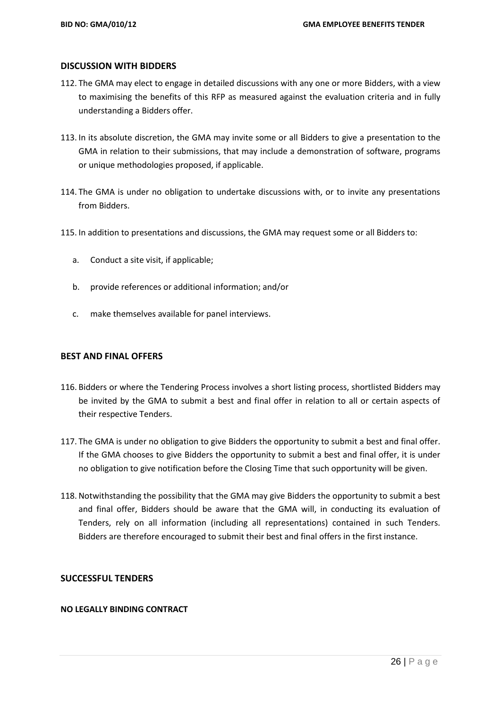#### **DISCUSSION WITH BIDDERS**

- 112. The GMA may elect to engage in detailed discussions with any one or more Bidders, with a view to maximising the benefits of this RFP as measured against the evaluation criteria and in fully understanding a Bidders offer.
- 113. In its absolute discretion, the GMA may invite some or all Bidders to give a presentation to the GMA in relation to their submissions, that may include a demonstration of software, programs or unique methodologies proposed, if applicable.
- 114. The GMA is under no obligation to undertake discussions with, or to invite any presentations from Bidders.
- 115. In addition to presentations and discussions, the GMA may request some or all Bidders to:
	- a. Conduct a site visit, if applicable;
	- b. provide references or additional information; and/or
	- c. make themselves available for panel interviews.

#### **BEST AND FINAL OFFERS**

- 116. Bidders or where the Tendering Process involves a short listing process, shortlisted Bidders may be invited by the GMA to submit a best and final offer in relation to all or certain aspects of their respective Tenders.
- 117. The GMA is under no obligation to give Bidders the opportunity to submit a best and final offer. If the GMA chooses to give Bidders the opportunity to submit a best and final offer, it is under no obligation to give notification before the Closing Time that such opportunity will be given.
- 118. Notwithstanding the possibility that the GMA may give Bidders the opportunity to submit a best and final offer, Bidders should be aware that the GMA will, in conducting its evaluation of Tenders, rely on all information (including all representations) contained in such Tenders. Bidders are therefore encouraged to submit their best and final offers in the first instance.

### **SUCCESSFUL TENDERS**

#### **NO LEGALLY BINDING CONTRACT**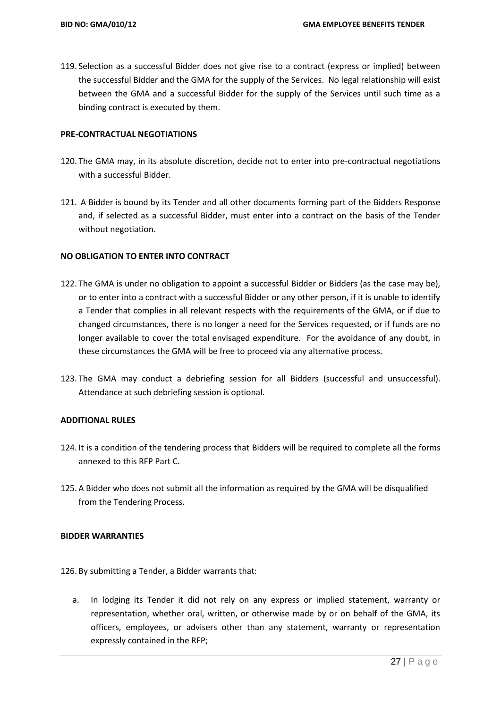119. Selection as a successful Bidder does not give rise to a contract (express or implied) between the successful Bidder and the GMA for the supply of the Services. No legal relationship will exist between the GMA and a successful Bidder for the supply of the Services until such time as a binding contract is executed by them.

#### **PRE-CONTRACTUAL NEGOTIATIONS**

- 120. The GMA may, in its absolute discretion, decide not to enter into pre-contractual negotiations with a successful Bidder.
- 121. A Bidder is bound by its Tender and all other documents forming part of the Bidders Response and, if selected as a successful Bidder, must enter into a contract on the basis of the Tender without negotiation.

#### **NO OBLIGATION TO ENTER INTO CONTRACT**

- 122. The GMA is under no obligation to appoint a successful Bidder or Bidders (as the case may be), or to enter into a contract with a successful Bidder or any other person, if it is unable to identify a Tender that complies in all relevant respects with the requirements of the GMA, or if due to changed circumstances, there is no longer a need for the Services requested, or if funds are no longer available to cover the total envisaged expenditure. For the avoidance of any doubt, in these circumstances the GMA will be free to proceed via any alternative process.
- 123. The GMA may conduct a debriefing session for all Bidders (successful and unsuccessful). Attendance at such debriefing session is optional.

#### **ADDITIONAL RULES**

- 124. It is a condition of the tendering process that Bidders will be required to complete all the forms annexed to this RFP Part C.
- 125. A Bidder who does not submit all the information as required by the GMA will be disqualified from the Tendering Process.

#### **BIDDER WARRANTIES**

- 126. By submitting a Tender, a Bidder warrants that:
	- a. In lodging its Tender it did not rely on any express or implied statement, warranty or representation, whether oral, written, or otherwise made by or on behalf of the GMA, its officers, employees, or advisers other than any statement, warranty or representation expressly contained in the RFP;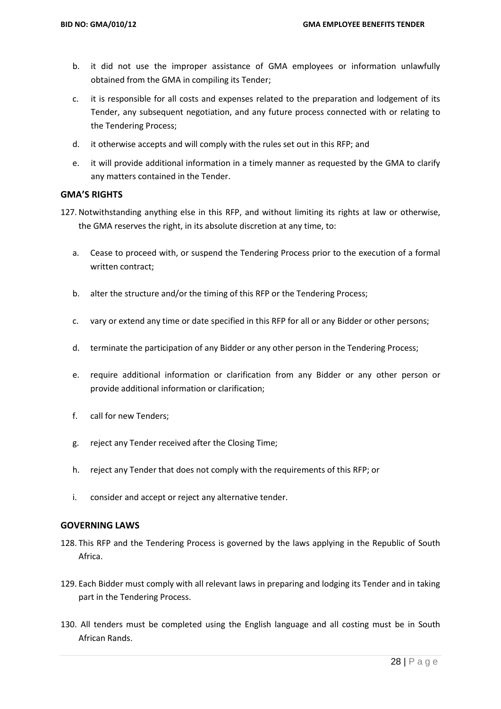- b. it did not use the improper assistance of GMA employees or information unlawfully obtained from the GMA in compiling its Tender;
- c. it is responsible for all costs and expenses related to the preparation and lodgement of its Tender, any subsequent negotiation, and any future process connected with or relating to the Tendering Process;
- d. it otherwise accepts and will comply with the rules set out in this RFP; and
- e. it will provide additional information in a timely manner as requested by the GMA to clarify any matters contained in the Tender.

#### **GMA'S RIGHTS**

- 127. Notwithstanding anything else in this RFP, and without limiting its rights at law or otherwise, the GMA reserves the right, in its absolute discretion at any time, to:
	- a. Cease to proceed with, or suspend the Tendering Process prior to the execution of a formal written contract;
	- b. alter the structure and/or the timing of this RFP or the Tendering Process;
	- c. vary or extend any time or date specified in this RFP for all or any Bidder or other persons;
	- d. terminate the participation of any Bidder or any other person in the Tendering Process;
	- e. require additional information or clarification from any Bidder or any other person or provide additional information or clarification;
	- f. call for new Tenders;
	- g. reject any Tender received after the Closing Time;
	- h. reject any Tender that does not comply with the requirements of this RFP; or
	- i. consider and accept or reject any alternative tender.

#### **GOVERNING LAWS**

- 128. This RFP and the Tendering Process is governed by the laws applying in the Republic of South Africa.
- 129. Each Bidder must comply with all relevant laws in preparing and lodging its Tender and in taking part in the Tendering Process.
- 130. All tenders must be completed using the English language and all costing must be in South African Rands.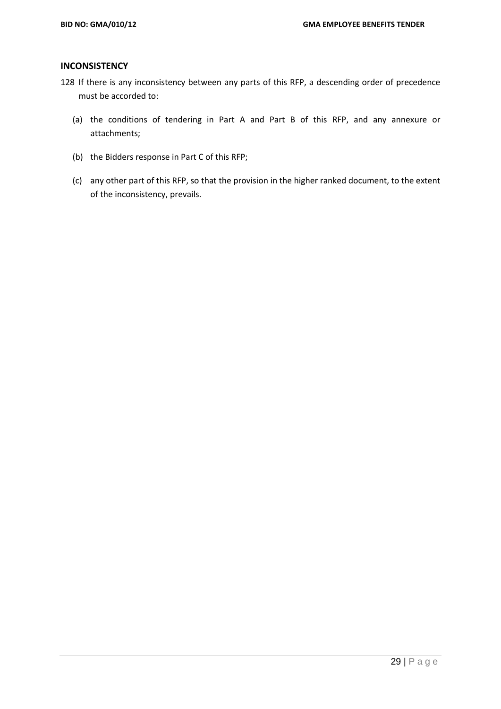#### **INCONSISTENCY**

- 128 If there is any inconsistency between any parts of this RFP, a descending order of precedence must be accorded to:
	- (a) the conditions of tendering in Part A and Part B of this RFP, and any annexure or attachments;
	- (b) the Bidders response in Part C of this RFP;
	- (c) any other part of this RFP, so that the provision in the higher ranked document, to the extent of the inconsistency, prevails.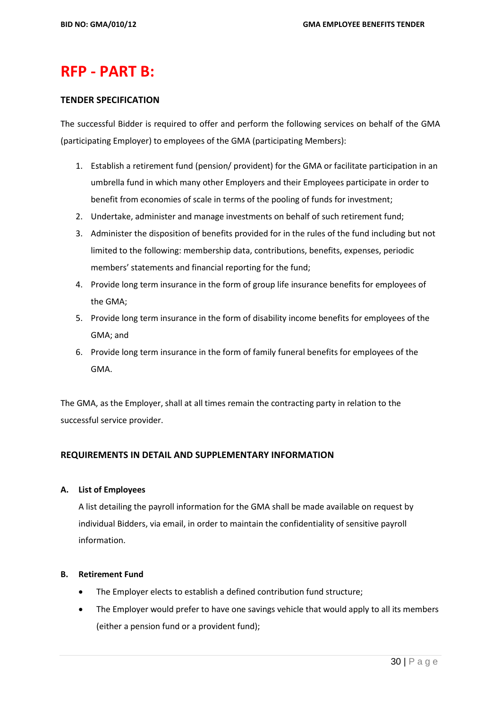# **RFP - PART B:**

#### **TENDER SPECIFICATION**

The successful Bidder is required to offer and perform the following services on behalf of the GMA (participating Employer) to employees of the GMA (participating Members):

- 1. Establish a retirement fund (pension/ provident) for the GMA or facilitate participation in an umbrella fund in which many other Employers and their Employees participate in order to benefit from economies of scale in terms of the pooling of funds for investment;
- 2. Undertake, administer and manage investments on behalf of such retirement fund;
- 3. Administer the disposition of benefits provided for in the rules of the fund including but not limited to the following: membership data, contributions, benefits, expenses, periodic members' statements and financial reporting for the fund;
- 4. Provide long term insurance in the form of group life insurance benefits for employees of the GMA;
- 5. Provide long term insurance in the form of disability income benefits for employees of the GMA; and
- 6. Provide long term insurance in the form of family funeral benefits for employees of the GMA.

The GMA, as the Employer, shall at all times remain the contracting party in relation to the successful service provider.

#### **REQUIREMENTS IN DETAIL AND SUPPLEMENTARY INFORMATION**

#### **A. List of Employees**

A list detailing the payroll information for the GMA shall be made available on request by individual Bidders, via email, in order to maintain the confidentiality of sensitive payroll information.

#### **B. Retirement Fund**

- The Employer elects to establish a defined contribution fund structure;
- The Employer would prefer to have one savings vehicle that would apply to all its members (either a pension fund or a provident fund);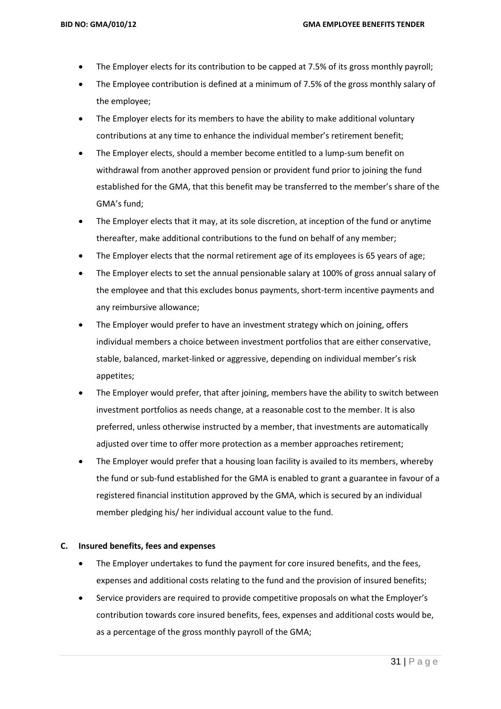- The Employer elects for its contribution to be capped at 7.5% of its gross monthly payroll;
- The Employee contribution is defined at a minimum of 7.5% of the gross monthly salary of the employee;
- The Employer elects for its members to have the ability to make additional voluntary contributions at any time to enhance the individual member's retirement benefit;
- The Employer elects, should a member become entitled to a lump-sum benefit on withdrawal from another approved pension or provident fund prior to joining the fund established for the GMA, that this benefit may be transferred to the member's share of the GMA's fund;
- The Employer elects that it may, at its sole discretion, at inception of the fund or anytime thereafter, make additional contributions to the fund on behalf of any member;
- The Employer elects that the normal retirement age of its employees is 65 years of age;
- The Employer elects to set the annual pensionable salary at 100% of gross annual salary of the employee and that this excludes bonus payments, short-term incentive payments and any reimbursive allowance;
- The Employer would prefer to have an investment strategy which on joining, offers individual members a choice between investment portfolios that are either conservative, stable, balanced, market-linked or aggressive, depending on individual member's risk appetites;
- The Employer would prefer, that after joining, members have the ability to switch between investment portfolios as needs change, at a reasonable cost to the member. It is also preferred, unless otherwise instructed by a member, that investments are automatically adjusted over time to offer more protection as a member approaches retirement;
- The Employer would prefer that a housing loan facility is availed to its members, whereby the fund or sub-fund established for the GMA is enabled to grant a guarantee in favour of a registered financial institution approved by the GMA, which is secured by an individual member pledging his/ her individual account value to the fund.

#### **C. Insured benefits, fees and expenses**

- The Employer undertakes to fund the payment for core insured benefits, and the fees, expenses and additional costs relating to the fund and the provision of insured benefits;
- Service providers are required to provide competitive proposals on what the Employer's contribution towards core insured benefits, fees, expenses and additional costs would be, as a percentage of the gross monthly payroll of the GMA;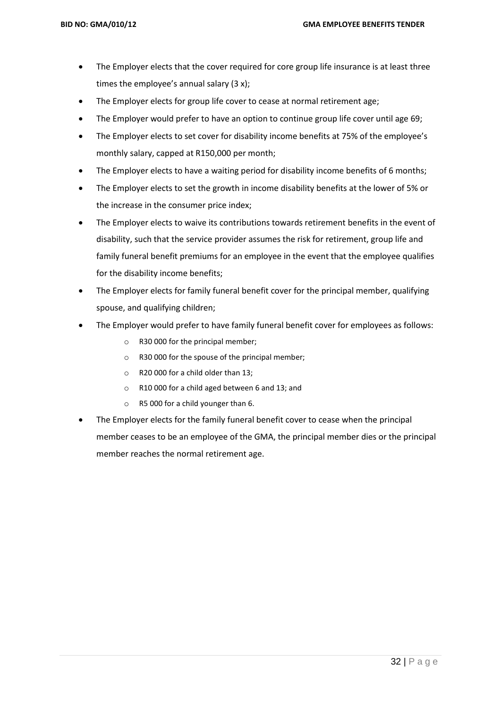- The Employer elects that the cover required for core group life insurance is at least three times the employee's annual salary (3 x);
- The Employer elects for group life cover to cease at normal retirement age;
- The Employer would prefer to have an option to continue group life cover until age 69;
- The Employer elects to set cover for disability income benefits at 75% of the employee's monthly salary, capped at R150,000 per month;
- The Employer elects to have a waiting period for disability income benefits of 6 months;
- The Employer elects to set the growth in income disability benefits at the lower of 5% or the increase in the consumer price index;
- The Employer elects to waive its contributions towards retirement benefits in the event of disability, such that the service provider assumes the risk for retirement, group life and family funeral benefit premiums for an employee in the event that the employee qualifies for the disability income benefits;
- The Employer elects for family funeral benefit cover for the principal member, qualifying spouse, and qualifying children;
- The Employer would prefer to have family funeral benefit cover for employees as follows:
	- o R30 000 for the principal member;
	- o R30 000 for the spouse of the principal member;
	- o R20 000 for a child older than 13;
	- o R10 000 for a child aged between 6 and 13; and
	- o R5 000 for a child younger than 6.
- The Employer elects for the family funeral benefit cover to cease when the principal member ceases to be an employee of the GMA, the principal member dies or the principal member reaches the normal retirement age.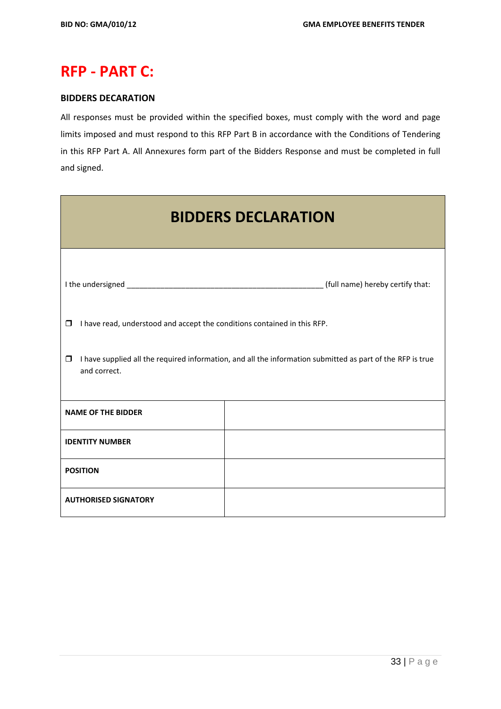# **RFP - PART C:**

# **BIDDERS DECARATION**

All responses must be provided within the specified boxes, must comply with the word and page limits imposed and must respond to this RFP Part B in accordance with the Conditions of Tendering in this RFP Part A. All Annexures form part of the Bidders Response and must be completed in full and signed.

| <b>BIDDERS DECLARATION</b>                                                                                                           |  |  |  |  |  |  |  |
|--------------------------------------------------------------------------------------------------------------------------------------|--|--|--|--|--|--|--|
|                                                                                                                                      |  |  |  |  |  |  |  |
| I have read, understood and accept the conditions contained in this RFP.<br>$\Box$                                                   |  |  |  |  |  |  |  |
| I have supplied all the required information, and all the information submitted as part of the RFP is true<br>$\Box$<br>and correct. |  |  |  |  |  |  |  |
| <b>NAME OF THE BIDDER</b>                                                                                                            |  |  |  |  |  |  |  |
| <b>IDENTITY NUMBER</b>                                                                                                               |  |  |  |  |  |  |  |
| <b>POSITION</b>                                                                                                                      |  |  |  |  |  |  |  |
| <b>AUTHORISED SIGNATORY</b>                                                                                                          |  |  |  |  |  |  |  |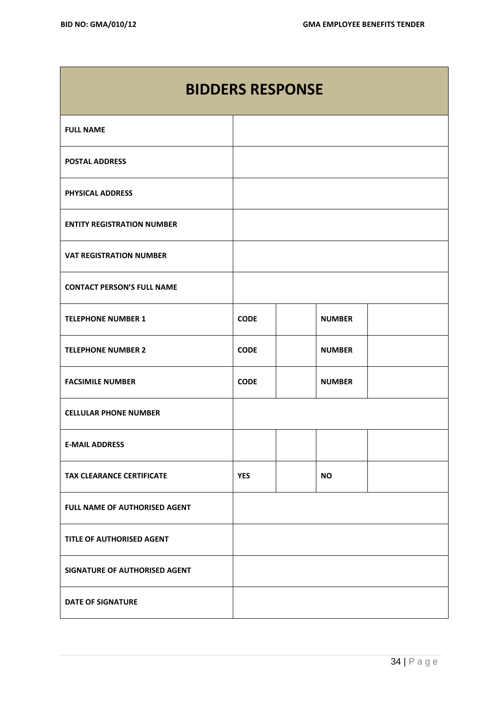Г

| <b>BIDDERS RESPONSE</b>           |             |  |               |  |  |  |
|-----------------------------------|-------------|--|---------------|--|--|--|
| <b>FULL NAME</b>                  |             |  |               |  |  |  |
| <b>POSTAL ADDRESS</b>             |             |  |               |  |  |  |
| PHYSICAL ADDRESS                  |             |  |               |  |  |  |
| <b>ENTITY REGISTRATION NUMBER</b> |             |  |               |  |  |  |
| <b>VAT REGISTRATION NUMBER</b>    |             |  |               |  |  |  |
| <b>CONTACT PERSON'S FULL NAME</b> |             |  |               |  |  |  |
| <b>TELEPHONE NUMBER 1</b>         | <b>CODE</b> |  | <b>NUMBER</b> |  |  |  |
| <b>TELEPHONE NUMBER 2</b>         | <b>CODE</b> |  | <b>NUMBER</b> |  |  |  |
| <b>FACSIMILE NUMBER</b>           | <b>CODE</b> |  | <b>NUMBER</b> |  |  |  |
| <b>CELLULAR PHONE NUMBER</b>      |             |  |               |  |  |  |
| <b>E-MAIL ADDRESS</b>             |             |  |               |  |  |  |
| <b>TAX CLEARANCE CERTIFICATE</b>  | <b>YES</b>  |  | <b>NO</b>     |  |  |  |
| FULL NAME OF AUTHORISED AGENT     |             |  |               |  |  |  |
| TITLE OF AUTHORISED AGENT         |             |  |               |  |  |  |
| SIGNATURE OF AUTHORISED AGENT     |             |  |               |  |  |  |
| <b>DATE OF SIGNATURE</b>          |             |  |               |  |  |  |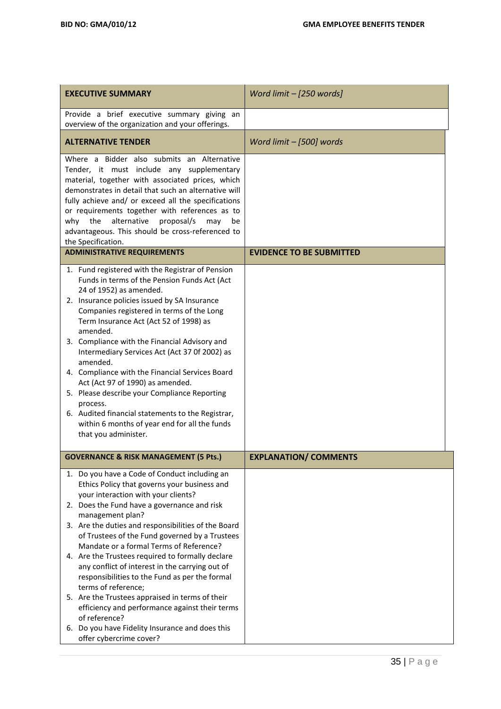| <b>EXECUTIVE SUMMARY</b>                                                                                                                                                                                                                                                                                                                                                                                                                                                                                                                                                                                                                                                      | Word limit - [250 words]        |
|-------------------------------------------------------------------------------------------------------------------------------------------------------------------------------------------------------------------------------------------------------------------------------------------------------------------------------------------------------------------------------------------------------------------------------------------------------------------------------------------------------------------------------------------------------------------------------------------------------------------------------------------------------------------------------|---------------------------------|
| Provide a brief executive summary giving an<br>overview of the organization and your offerings.                                                                                                                                                                                                                                                                                                                                                                                                                                                                                                                                                                               |                                 |
| <b>ALTERNATIVE TENDER</b>                                                                                                                                                                                                                                                                                                                                                                                                                                                                                                                                                                                                                                                     | Word limit - [500] words        |
| Where a Bidder also submits an Alternative<br>Tender, it must include any supplementary<br>material, together with associated prices, which<br>demonstrates in detail that such an alternative will<br>fully achieve and/ or exceed all the specifications<br>or requirements together with references as to<br>the<br>alternative proposal/s<br>why<br>may<br>be<br>advantageous. This should be cross-referenced to<br>the Specification.                                                                                                                                                                                                                                   |                                 |
| <b>ADMINISTRATIVE REQUIREMENTS</b>                                                                                                                                                                                                                                                                                                                                                                                                                                                                                                                                                                                                                                            | <b>EVIDENCE TO BE SUBMITTED</b> |
| 1. Fund registered with the Registrar of Pension<br>Funds in terms of the Pension Funds Act (Act<br>24 of 1952) as amended.<br>2. Insurance policies issued by SA Insurance<br>Companies registered in terms of the Long<br>Term Insurance Act (Act 52 of 1998) as<br>amended.<br>3. Compliance with the Financial Advisory and<br>Intermediary Services Act (Act 37 Of 2002) as<br>amended.<br>4. Compliance with the Financial Services Board<br>Act (Act 97 of 1990) as amended.<br>5. Please describe your Compliance Reporting<br>process.<br>6. Audited financial statements to the Registrar,<br>within 6 months of year end for all the funds<br>that you administer. |                                 |
| <b>GOVERNANCE &amp; RISK MANAGEMENT (5 Pts.)</b>                                                                                                                                                                                                                                                                                                                                                                                                                                                                                                                                                                                                                              | <b>EXPLANATION/ COMMENTS</b>    |
| 1. Do you have a Code of Conduct including an<br>Ethics Policy that governs your business and<br>your interaction with your clients?<br>2. Does the Fund have a governance and risk<br>management plan?<br>3. Are the duties and responsibilities of the Board<br>of Trustees of the Fund governed by a Trustees<br>Mandate or a formal Terms of Reference?<br>4. Are the Trustees required to formally declare<br>any conflict of interest in the carrying out of<br>responsibilities to the Fund as per the formal<br>terms of reference;<br>5. Are the Trustees appraised in terms of their<br>efficiency and performance against their terms<br>of reference?             |                                 |
| 6. Do you have Fidelity Insurance and does this<br>offer cybercrime cover?                                                                                                                                                                                                                                                                                                                                                                                                                                                                                                                                                                                                    |                                 |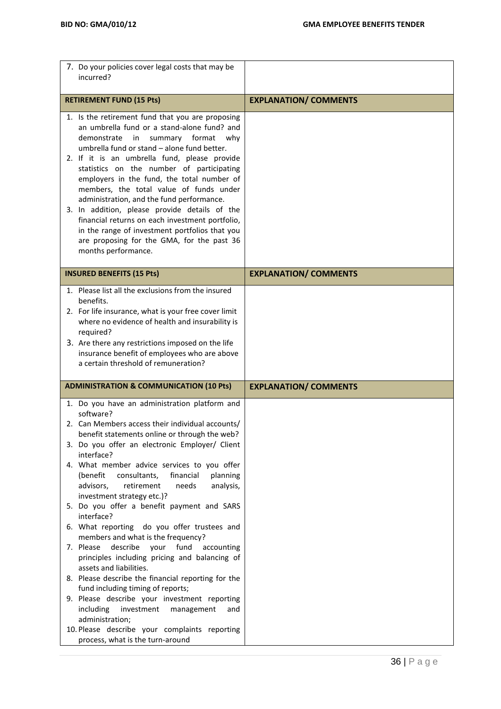| 7. Do your policies cover legal costs that may be<br>incurred?                                                                                                                                                                                                                                                                                                                                                                                                                                                                                                                                                                                                                                                                                                                                                                                    |                              |
|---------------------------------------------------------------------------------------------------------------------------------------------------------------------------------------------------------------------------------------------------------------------------------------------------------------------------------------------------------------------------------------------------------------------------------------------------------------------------------------------------------------------------------------------------------------------------------------------------------------------------------------------------------------------------------------------------------------------------------------------------------------------------------------------------------------------------------------------------|------------------------------|
| <b>RETIREMENT FUND (15 Pts)</b>                                                                                                                                                                                                                                                                                                                                                                                                                                                                                                                                                                                                                                                                                                                                                                                                                   | <b>EXPLANATION/ COMMENTS</b> |
| 1. Is the retirement fund that you are proposing<br>an umbrella fund or a stand-alone fund? and<br>demonstrate<br>summary format<br>in<br>why<br>umbrella fund or stand - alone fund better.<br>2. If it is an umbrella fund, please provide<br>statistics on the number of participating<br>employers in the fund, the total number of<br>members, the total value of funds under<br>administration, and the fund performance.<br>3. In addition, please provide details of the<br>financial returns on each investment portfolio,<br>in the range of investment portfolios that you<br>are proposing for the GMA, for the past 36<br>months performance.                                                                                                                                                                                        |                              |
| <b>INSURED BENEFITS (15 Pts)</b>                                                                                                                                                                                                                                                                                                                                                                                                                                                                                                                                                                                                                                                                                                                                                                                                                  | <b>EXPLANATION/ COMMENTS</b> |
| 1. Please list all the exclusions from the insured<br>benefits.<br>2. For life insurance, what is your free cover limit<br>where no evidence of health and insurability is<br>required?<br>3. Are there any restrictions imposed on the life<br>insurance benefit of employees who are above<br>a certain threshold of remuneration?                                                                                                                                                                                                                                                                                                                                                                                                                                                                                                              |                              |
| <b>ADMINISTRATION &amp; COMMUNICATION (10 Pts)</b>                                                                                                                                                                                                                                                                                                                                                                                                                                                                                                                                                                                                                                                                                                                                                                                                | <b>EXPLANATION/ COMMENTS</b> |
| 1. Do you have an administration platform and<br>software?<br>2. Can Members access their individual accounts/<br>benefit statements online or through the web?<br>3. Do you offer an electronic Employer/ Client<br>interface?<br>4. What member advice services to you offer<br>(benefit<br>financial<br>consultants,<br>planning<br>advisors,<br>retirement<br>needs<br>analysis,<br>investment strategy etc.)?<br>5. Do you offer a benefit payment and SARS<br>interface?<br>6. What reporting do you offer trustees and<br>members and what is the frequency?<br>7. Please<br>describe<br>your<br>fund<br>accounting<br>principles including pricing and balancing of<br>assets and liabilities.<br>8. Please describe the financial reporting for the<br>fund including timing of reports;<br>9. Please describe your investment reporting |                              |
| investment<br>including<br>management<br>and<br>administration;<br>10. Please describe your complaints reporting<br>process, what is the turn-around                                                                                                                                                                                                                                                                                                                                                                                                                                                                                                                                                                                                                                                                                              |                              |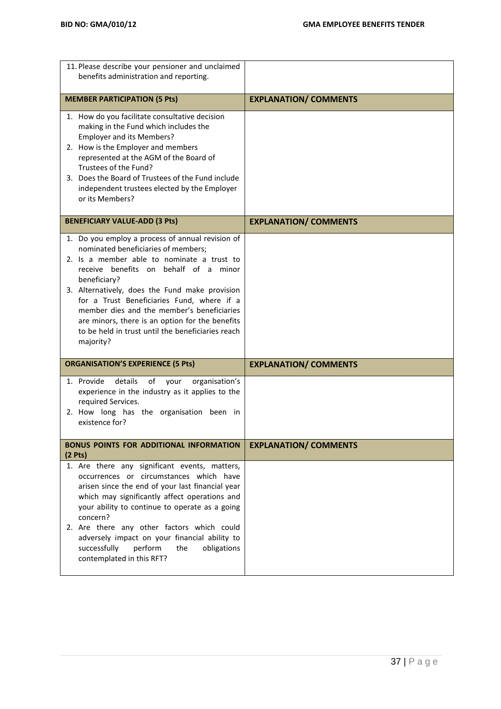| 11. Please describe your pensioner and unclaimed<br>benefits administration and reporting.                                                                                                                                                                                                                                                                                                      |                              |
|-------------------------------------------------------------------------------------------------------------------------------------------------------------------------------------------------------------------------------------------------------------------------------------------------------------------------------------------------------------------------------------------------|------------------------------|
| <b>MEMBER PARTICIPATION (5 Pts)</b>                                                                                                                                                                                                                                                                                                                                                             | <b>EXPLANATION/ COMMENTS</b> |
| 1. How do you facilitate consultative decision<br>making in the Fund which includes the<br>Employer and its Members?<br>2. How is the Employer and members<br>represented at the AGM of the Board of<br>Trustees of the Fund?<br>3. Does the Board of Trustees of the Fund include<br>independent trustees elected by the Employer<br>or its Members?                                           |                              |
| <b>BENEFICIARY VALUE-ADD (3 Pts)</b>                                                                                                                                                                                                                                                                                                                                                            | <b>EXPLANATION/ COMMENTS</b> |
| 1. Do you employ a process of annual revision of<br>nominated beneficiaries of members;<br>2. Is a member able to nominate a trust to<br>receive benefits on behalf of a minor<br>beneficiary?<br>3. Alternatively, does the Fund make provision<br>for a Trust Beneficiaries Fund, where if a<br>member dies and the member's beneficiaries<br>are minors, there is an option for the benefits |                              |
| to be held in trust until the beneficiaries reach<br>majority?                                                                                                                                                                                                                                                                                                                                  |                              |
| <b>ORGANISATION'S EXPERIENCE (5 Pts)</b>                                                                                                                                                                                                                                                                                                                                                        | <b>EXPLANATION/ COMMENTS</b> |
| 1. Provide<br>details<br>of<br>your<br>organisation's<br>experience in the industry as it applies to the<br>required Services.<br>2. How long has the organisation been in<br>existence for?                                                                                                                                                                                                    |                              |
| <b>BONUS POINTS FOR ADDITIONAL INFORMATION</b><br>(2 <b>P</b> ts)                                                                                                                                                                                                                                                                                                                               | <b>EXPLANATION/ COMMENTS</b> |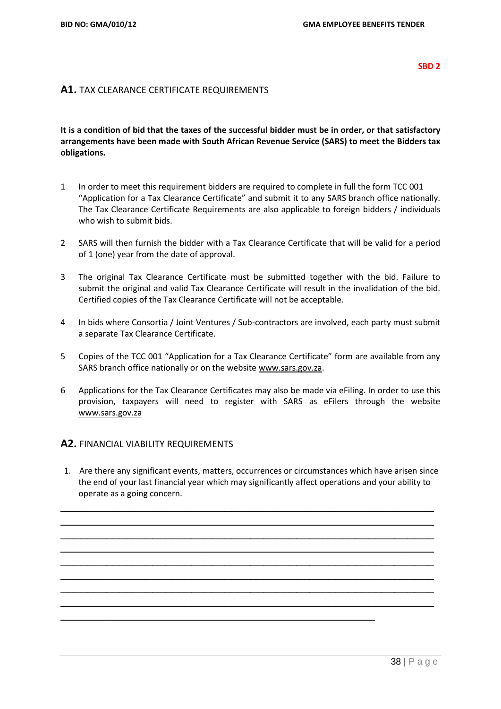#### **SBD 2**

## **A1.** TAX CLEARANCE CERTIFICATE REQUIREMENTS

# **It is a condition of bid that the taxes of the successful bidder must be in order, or that satisfactory arrangements have been made with South African Revenue Service (SARS) to meet the Bidders tax obligations.**

- 1 In order to meet this requirement bidders are required to complete in full the form TCC 001 "Application for a Tax Clearance Certificate" and submit it to any SARS branch office nationally. The Tax Clearance Certificate Requirements are also applicable to foreign bidders / individuals who wish to submit bids.
- 2 SARS will then furnish the bidder with a Tax Clearance Certificate that will be valid for a period of 1 (one) year from the date of approval.
- 3 The original Tax Clearance Certificate must be submitted together with the bid. Failure to submit the original and valid Tax Clearance Certificate will result in the invalidation of the bid. Certified copies of the Tax Clearance Certificate will not be acceptable.
- 4 In bids where Consortia / Joint Ventures / Sub-contractors are involved, each party must submit a separate Tax Clearance Certificate.
- 5 Copies of the TCC 001 "Application for a Tax Clearance Certificate" form are available from any SARS branch office nationally or on the website [www.sars.gov.za.](http://www.sars.gov.za/)
- 6 Applications for the Tax Clearance Certificates may also be made via eFiling. In order to use this provision, taxpayers will need to register with SARS as eFilers through the website [www.sars.gov.za](http://www.sars.gov.za/)

#### **A2.** FINANCIAL VIABILITY REQUIREMENTS

1. Are there any significant events, matters, occurrences or circumstances which have arisen since the end of your last financial year which may significantly affect operations and your ability to operate as a going concern.

\_\_\_\_\_\_\_\_\_\_\_\_\_\_\_\_\_\_\_\_\_\_\_\_\_\_\_\_\_\_\_\_\_\_\_\_\_\_\_\_\_\_\_\_\_\_\_\_\_\_\_\_\_\_\_\_\_ \_\_\_\_\_\_\_\_\_\_\_\_\_\_\_\_\_\_\_\_\_\_\_\_\_\_\_\_\_\_\_\_\_\_\_\_\_\_\_\_\_\_\_\_\_\_\_\_\_\_\_\_\_\_\_\_\_ \_\_\_\_\_\_\_\_\_\_\_\_\_\_\_\_\_\_\_\_\_\_\_\_\_\_\_\_\_\_\_\_\_\_\_\_\_\_\_\_\_\_\_\_\_\_\_\_\_\_\_\_\_\_\_\_\_ \_\_\_\_\_\_\_\_\_\_\_\_\_\_\_\_\_\_\_\_\_\_\_\_\_\_\_\_\_\_\_\_\_\_\_\_\_\_\_\_\_\_\_\_\_\_\_\_\_\_\_\_\_\_\_\_\_ \_\_\_\_\_\_\_\_\_\_\_\_\_\_\_\_\_\_\_\_\_\_\_\_\_\_\_\_\_\_\_\_\_\_\_\_\_\_\_\_\_\_\_\_\_\_\_\_\_\_\_\_\_\_\_\_\_ \_\_\_\_\_\_\_\_\_\_\_\_\_\_\_\_\_\_\_\_\_\_\_\_\_\_\_\_\_\_\_\_\_\_\_\_\_\_\_\_\_\_\_\_\_\_\_\_\_\_\_\_\_\_\_\_\_ \_\_\_\_\_\_\_\_\_\_\_\_\_\_\_\_\_\_\_\_\_\_\_\_\_\_\_\_\_\_\_\_\_\_\_\_\_\_\_\_\_\_\_\_\_\_\_\_\_\_\_\_\_\_\_\_\_ \_\_\_\_\_\_\_\_\_\_\_\_\_\_\_\_\_\_\_\_\_\_\_\_\_\_\_\_\_\_\_\_\_\_\_\_\_\_\_\_\_\_\_\_\_\_\_\_\_\_\_\_\_\_\_\_\_

\_\_\_\_\_\_\_\_\_\_\_\_\_\_\_\_\_\_\_\_\_\_\_\_\_\_\_\_\_\_\_\_\_\_\_\_\_\_\_\_\_\_\_\_\_\_\_\_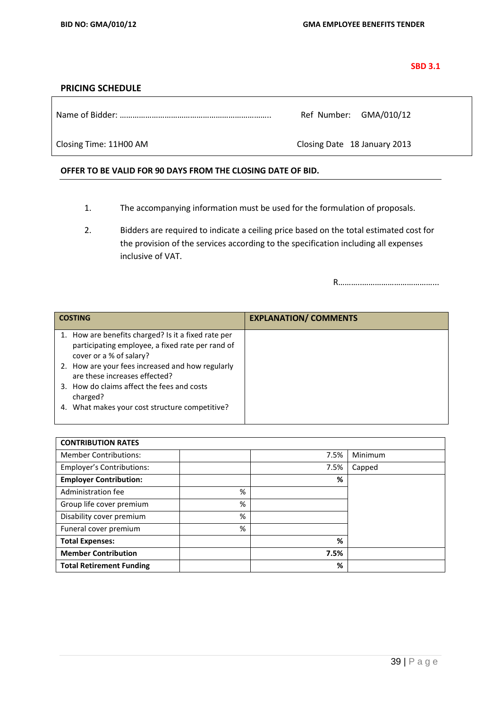#### **SBD 3.1**

### **PRICING SCHEDULE**

Name of Bidder: …………………………………………………………….. Ref Number: GMA/010/12

Closing Time: 11H00 AM Closing Date 18 January 2013

#### **OFFER TO BE VALID FOR 90 DAYS FROM THE CLOSING DATE OF BID.**

- 1. The accompanying information must be used for the formulation of proposals.
- 2. Bidders are required to indicate a ceiling price based on the total estimated cost for the provision of the services according to the specification including all expenses inclusive of VAT.

R………..……………………………...

| <b>COSTING</b>                                                                                                                     | <b>EXPLANATION/ COMMENTS</b> |
|------------------------------------------------------------------------------------------------------------------------------------|------------------------------|
| 1. How are benefits charged? Is it a fixed rate per<br>participating employee, a fixed rate per rand of<br>cover or a % of salary? |                              |
| 2. How are your fees increased and how regularly<br>are these increases effected?                                                  |                              |
| 3. How do claims affect the fees and costs<br>charged?                                                                             |                              |
| 4. What makes your cost structure competitive?                                                                                     |                              |

| <b>CONTRIBUTION RATES</b>        |   |      |         |
|----------------------------------|---|------|---------|
| <b>Member Contributions:</b>     |   | 7.5% | Minimum |
| <b>Employer's Contributions:</b> |   | 7.5% | Capped  |
| <b>Employer Contribution:</b>    |   | %    |         |
| Administration fee               | % |      |         |
| Group life cover premium         | % |      |         |
| Disability cover premium         | % |      |         |
| Funeral cover premium            | % |      |         |
| <b>Total Expenses:</b>           |   | %    |         |
| <b>Member Contribution</b>       |   | 7.5% |         |
| <b>Total Retirement Funding</b>  |   | %    |         |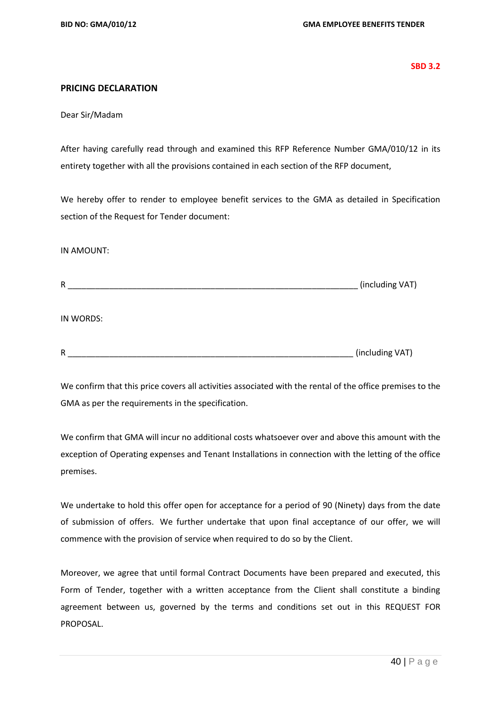**SBD 3.2**

# **PRICING DECLARATION**

Dear Sir/Madam

After having carefully read through and examined this RFP Reference Number GMA/010/12 in its entirety together with all the provisions contained in each section of the RFP document,

We hereby offer to render to employee benefit services to the GMA as detailed in Specification section of the Request for Tender document:

IN AMOUNT:

| R | (including VA) |  |
|---|----------------|--|
|---|----------------|--|

IN WORDS:

We confirm that this price covers all activities associated with the rental of the office premises to the GMA as per the requirements in the specification.

We confirm that GMA will incur no additional costs whatsoever over and above this amount with the exception of Operating expenses and Tenant Installations in connection with the letting of the office premises.

We undertake to hold this offer open for acceptance for a period of 90 (Ninety) days from the date of submission of offers. We further undertake that upon final acceptance of our offer, we will commence with the provision of service when required to do so by the Client.

Moreover, we agree that until formal Contract Documents have been prepared and executed, this Form of Tender, together with a written acceptance from the Client shall constitute a binding agreement between us, governed by the terms and conditions set out in this REQUEST FOR PROPOSAL.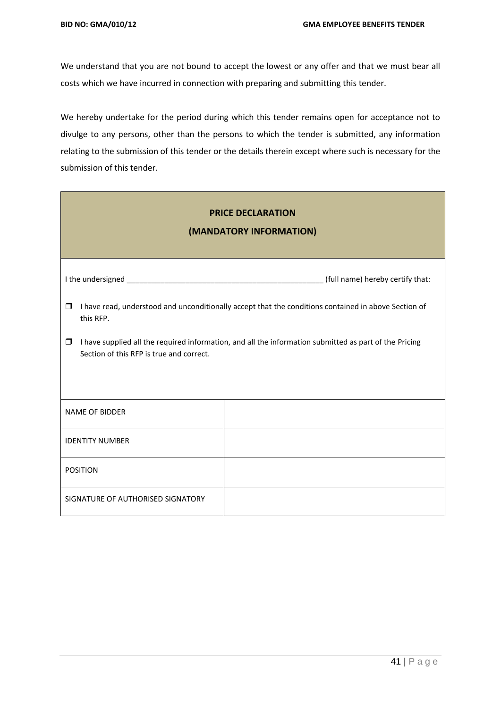We understand that you are not bound to accept the lowest or any offer and that we must bear all costs which we have incurred in connection with preparing and submitting this tender.

We hereby undertake for the period during which this tender remains open for acceptance not to divulge to any persons, other than the persons to which the tender is submitted, any information relating to the submission of this tender or the details therein except where such is necessary for the submission of this tender.

| <b>PRICE DECLARATION</b><br>(MANDATORY INFORMATION)                                                                                                          |                                  |  |  |  |  |  |  |
|--------------------------------------------------------------------------------------------------------------------------------------------------------------|----------------------------------|--|--|--|--|--|--|
|                                                                                                                                                              | (full name) hereby certify that: |  |  |  |  |  |  |
| I have read, understood and unconditionally accept that the conditions contained in above Section of<br>$\Box$<br>this RFP.                                  |                                  |  |  |  |  |  |  |
| I have supplied all the required information, and all the information submitted as part of the Pricing<br>$\Box$<br>Section of this RFP is true and correct. |                                  |  |  |  |  |  |  |
| <b>NAME OF BIDDER</b>                                                                                                                                        |                                  |  |  |  |  |  |  |
| <b>IDENTITY NUMBER</b>                                                                                                                                       |                                  |  |  |  |  |  |  |
| <b>POSITION</b>                                                                                                                                              |                                  |  |  |  |  |  |  |
| SIGNATURE OF AUTHORISED SIGNATORY                                                                                                                            |                                  |  |  |  |  |  |  |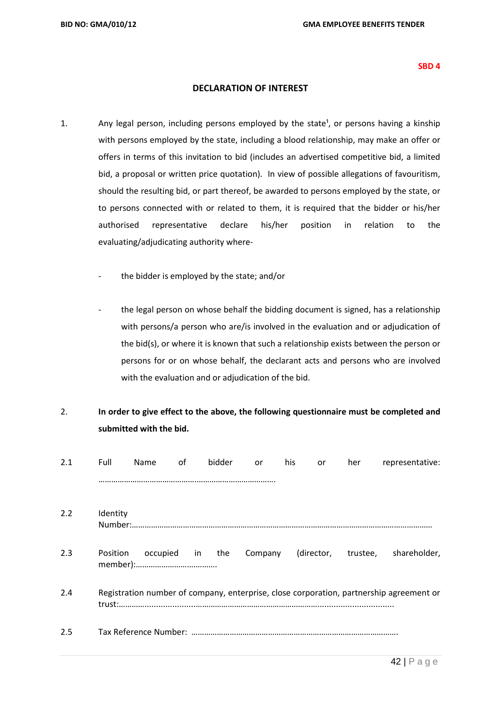#### **SBD 4**

## **DECLARATION OF INTEREST**

- 1. Any legal person, including persons employed by the state<sup>1</sup>, or persons having a kinship with persons employed by the state, including a blood relationship, may make an offer or offers in terms of this invitation to bid (includes an advertised competitive bid, a limited bid, a proposal or written price quotation). In view of possible allegations of favouritism, should the resulting bid, or part thereof, be awarded to persons employed by the state, or to persons connected with or related to them, it is required that the bidder or his/her authorised representative declare his/her position in relation to the evaluating/adjudicating authority where
	- the bidder is employed by the state; and/or
	- the legal person on whose behalf the bidding document is signed, has a relationship with persons/a person who are/is involved in the evaluation and or adjudication of the bid(s), or where it is known that such a relationship exists between the person or persons for or on whose behalf, the declarant acts and persons who are involved with the evaluation and or adjudication of the bid.

# 2. **In order to give effect to the above, the following questionnaire must be completed and submitted with the bid.**

| 2.1 | Full     | <b>Name</b>     | of | bidder | or      | his | or | her | representative:                                                                         |
|-----|----------|-----------------|----|--------|---------|-----|----|-----|-----------------------------------------------------------------------------------------|
|     |          |                 |    |        |         |     |    |     |                                                                                         |
| 2.2 | Identity |                 |    |        |         |     |    |     |                                                                                         |
|     |          |                 |    |        |         |     |    |     |                                                                                         |
| 2.3 | Position | occupied in the |    |        | Company |     |    |     | (director, trustee, shareholder,                                                        |
|     |          |                 |    |        |         |     |    |     |                                                                                         |
| 2.4 |          |                 |    |        |         |     |    |     | Registration number of company, enterprise, close corporation, partnership agreement or |
|     |          |                 |    |        |         |     |    |     |                                                                                         |
| 2.5 |          |                 |    |        |         |     |    |     |                                                                                         |
|     |          |                 |    |        |         |     |    |     |                                                                                         |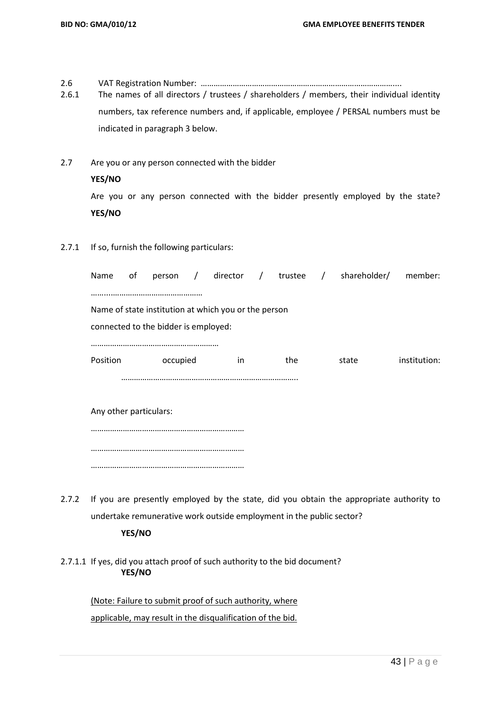2.6 VAT Registration Number: ………………………………………………………………………………....

2.6.1 The names of all directors / trustees / shareholders / members, their individual identity numbers, tax reference numbers and, if applicable, employee / PERSAL numbers must be indicated in paragraph 3 below.

- 2.7 Are you or any person connected with the bidder **YES/NO** Are you or any person connected with the bidder presently employed by the state? **YES/NO**
- 2.7.1 If so, furnish the following particulars:

| Name                                                 | οf |                                      |  |     |  |     |  | person / director / trustee / shareholder/ member: |              |
|------------------------------------------------------|----|--------------------------------------|--|-----|--|-----|--|----------------------------------------------------|--------------|
|                                                      |    |                                      |  |     |  |     |  |                                                    |              |
| Name of state institution at which you or the person |    |                                      |  |     |  |     |  |                                                    |              |
|                                                      |    | connected to the bidder is employed: |  |     |  |     |  |                                                    |              |
|                                                      |    |                                      |  |     |  |     |  |                                                    |              |
| Position                                             |    | occupied                             |  | in. |  | the |  | state                                              | institution: |
|                                                      |    |                                      |  |     |  |     |  |                                                    |              |
| Any other particulars:                               |    |                                      |  |     |  |     |  |                                                    |              |
|                                                      |    |                                      |  |     |  |     |  |                                                    |              |

| 2.7.2 If you are presently employed by the state, did you obtain the appropriate authority to |
|-----------------------------------------------------------------------------------------------|
| undertake remunerative work outside employment in the public sector?                          |

#### **YES/NO**

………………………………………………………………

………………………………………………………………

# 2.7.1.1 If yes, did you attach proof of such authority to the bid document? **YES/NO**

(Note: Failure to submit proof of such authority, where applicable, may result in the disqualification of the bid.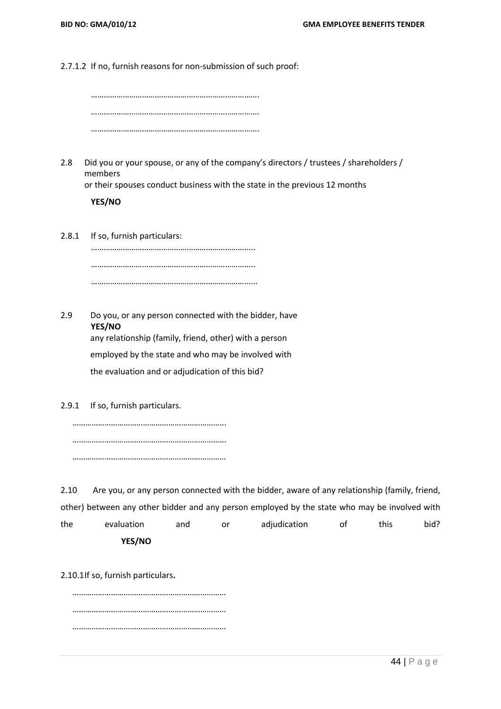2.7.1.2 If no, furnish reasons for non-submission of such proof:

2.8 Did you or your spouse, or any of the company's directors / trustees / shareholders / members

or their spouses conduct business with the state in the previous 12 months

**YES/NO**

2.8.1 If so, furnish particulars: ………………………………………………………………….. ………………………………………………………………….. …………………………………………………………………...

2.9 Do you, or any person connected with the bidder, have **YES/NO** any relationship (family, friend, other) with a person employed by the state and who may be involved with the evaluation and or adjudication of this bid?

2.9.1 If so, furnish particulars.

……………………………………………………………... …………………………………………………………..…. ………………………………………………………………

2.10 Are you, or any person connected with the bidder, aware of any relationship (family, friend, other) between any other bidder and any person employed by the state who may be involved with the evaluation and or adjudication of this bid? **YES/NO**

2.10.1If so, furnish particulars**.**

……………………………………………………………… ……………………………………………………………… ………………………………………………………………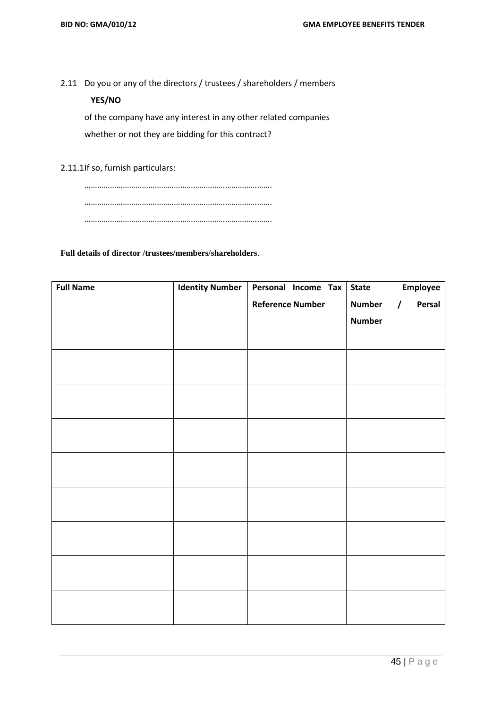2.11 Do you or any of the directors / trustees / shareholders / members

# **YES/NO**

of the company have any interest in any other related companies whether or not they are bidding for this contract?

2.11.1If so, furnish particulars:

……………………………………………………………………………. ……………………………………………………………………………. …………………………………………………………………………….

### **Full details of director /trustees/members/shareholders**.

| <b>Full Name</b> | <b>Identity Number</b> | Personal Income Tax     | <b>State</b>  | Employee           |
|------------------|------------------------|-------------------------|---------------|--------------------|
|                  |                        | <b>Reference Number</b> | <b>Number</b> | Persal<br>$\prime$ |
|                  |                        |                         | <b>Number</b> |                    |
|                  |                        |                         |               |                    |
|                  |                        |                         |               |                    |
|                  |                        |                         |               |                    |
|                  |                        |                         |               |                    |
|                  |                        |                         |               |                    |
|                  |                        |                         |               |                    |
|                  |                        |                         |               |                    |
|                  |                        |                         |               |                    |
|                  |                        |                         |               |                    |
|                  |                        |                         |               |                    |
|                  |                        |                         |               |                    |
|                  |                        |                         |               |                    |
|                  |                        |                         |               |                    |
|                  |                        |                         |               |                    |
|                  |                        |                         |               |                    |
|                  |                        |                         |               |                    |
|                  |                        |                         |               |                    |
|                  |                        |                         |               |                    |
|                  |                        |                         |               |                    |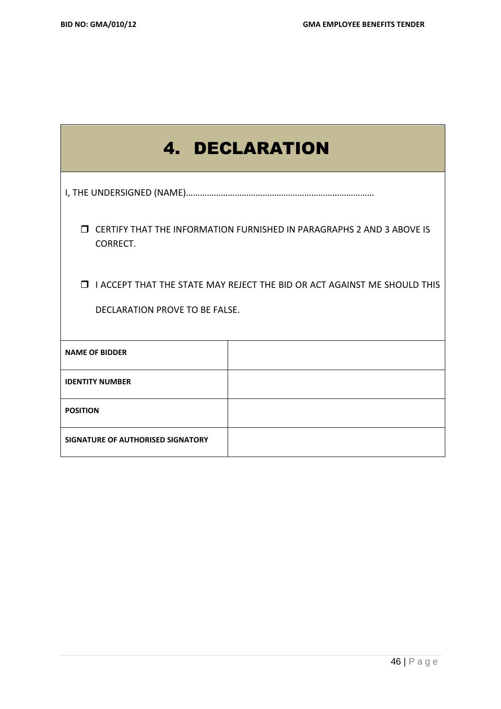|                                                                                                                     | <b>4. DECLARATION</b> |  |  |  |  |
|---------------------------------------------------------------------------------------------------------------------|-----------------------|--|--|--|--|
|                                                                                                                     |                       |  |  |  |  |
| <b>J CERTIFY THAT THE INFORMATION FURNISHED IN PARAGRAPHS 2 AND 3 ABOVE IS</b><br>CORRECT.                          |                       |  |  |  |  |
| <b>I</b> I ACCEPT THAT THE STATE MAY REJECT THE BID OR ACT AGAINST ME SHOULD THIS<br>DECLARATION PROVE TO BE FALSE. |                       |  |  |  |  |
| <b>NAME OF BIDDER</b>                                                                                               |                       |  |  |  |  |
| <b>IDENTITY NUMBER</b>                                                                                              |                       |  |  |  |  |
| <b>POSITION</b>                                                                                                     |                       |  |  |  |  |
| SIGNATURE OF AUTHORISED SIGNATORY                                                                                   |                       |  |  |  |  |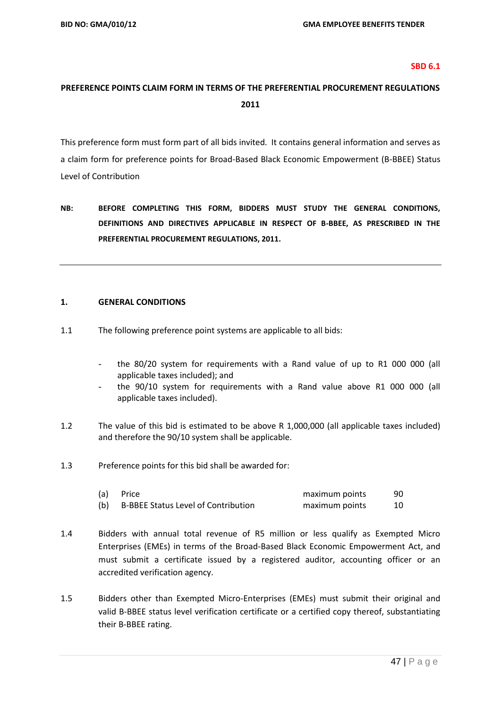#### **SBD 6.1**

# **PREFERENCE POINTS CLAIM FORM IN TERMS OF THE PREFERENTIAL PROCUREMENT REGULATIONS 2011**

This preference form must form part of all bids invited. It contains general information and serves as a claim form for preference points for Broad-Based Black Economic Empowerment (B-BBEE) Status Level of Contribution

**NB: BEFORE COMPLETING THIS FORM, BIDDERS MUST STUDY THE GENERAL CONDITIONS, DEFINITIONS AND DIRECTIVES APPLICABLE IN RESPECT OF B-BBEE, AS PRESCRIBED IN THE PREFERENTIAL PROCUREMENT REGULATIONS, 2011.** 

#### **1. GENERAL CONDITIONS**

- 1.1 The following preference point systems are applicable to all bids:
	- the 80/20 system for requirements with a Rand value of up to R1 000 000 (all applicable taxes included); and
	- the 90/10 system for requirements with a Rand value above R1 000 000 (all applicable taxes included).
- 1.2 The value of this bid is estimated to be above R 1,000,000 (all applicable taxes included) and therefore the 90/10 system shall be applicable.
- 1.3 Preference points for this bid shall be awarded for:

| (a) | Price                                      | maximum points | 90 |
|-----|--------------------------------------------|----------------|----|
| (b) | <b>B-BBEE Status Level of Contribution</b> | maximum points |    |

- 1.4 Bidders with annual total revenue of R5 million or less qualify as Exempted Micro Enterprises (EMEs) in terms of the Broad-Based Black Economic Empowerment Act, and must submit a certificate issued by a registered auditor, accounting officer or an accredited verification agency.
- 1.5 Bidders other than Exempted Micro-Enterprises (EMEs) must submit their original and valid B-BBEE status level verification certificate or a certified copy thereof, substantiating their B-BBEE rating.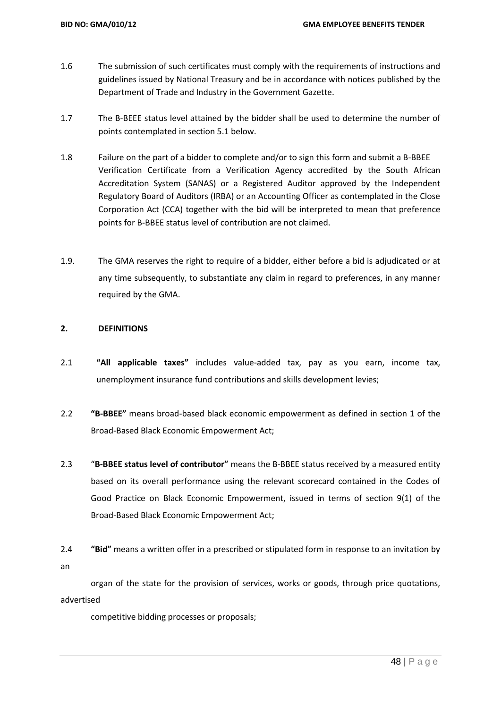- 1.6 The submission of such certificates must comply with the requirements of instructions and guidelines issued by National Treasury and be in accordance with notices published by the Department of Trade and Industry in the Government Gazette.
- 1.7 The B-BEEE status level attained by the bidder shall be used to determine the number of points contemplated in section 5.1 below.
- 1.8 Failure on the part of a bidder to complete and/or to sign this form and submit a B-BBEE Verification Certificate from a Verification Agency accredited by the South African Accreditation System (SANAS) or a Registered Auditor approved by the Independent Regulatory Board of Auditors (IRBA) or an Accounting Officer as contemplated in the Close Corporation Act (CCA) together with the bid will be interpreted to mean that preference points for B-BBEE status level of contribution are not claimed.
- 1.9. The GMA reserves the right to require of a bidder, either before a bid is adjudicated or at any time subsequently, to substantiate any claim in regard to preferences, in any manner required by the GMA.

#### **2. DEFINITIONS**

- 2.1 **"All applicable taxes"** includes value-added tax, pay as you earn, income tax, unemployment insurance fund contributions and skills development levies;
- 2.2 **"B-BBEE"** means broad-based black economic empowerment as defined in section 1 of the Broad-Based Black Economic Empowerment Act;
- 2.3 "**B-BBEE status level of contributor"** means the B-BBEE status received by a measured entity based on its overall performance using the relevant scorecard contained in the Codes of Good Practice on Black Economic Empowerment, issued in terms of section 9(1) of the Broad-Based Black Economic Empowerment Act;
- 2.4 **"Bid"** means a written offer in a prescribed or stipulated form in response to an invitation by an

organ of the state for the provision of services, works or goods, through price quotations, advertised

competitive bidding processes or proposals;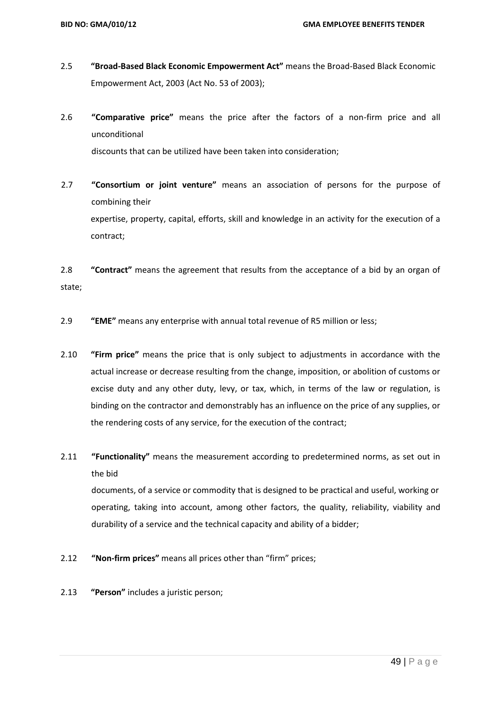- 2.5 **"Broad-Based Black Economic Empowerment Act"** means the Broad-Based Black Economic Empowerment Act, 2003 (Act No. 53 of 2003);
- 2.6 **"Comparative price"** means the price after the factors of a non-firm price and all unconditional discounts that can be utilized have been taken into consideration;
- 2.7 **"Consortium or joint venture"** means an association of persons for the purpose of combining their expertise, property, capital, efforts, skill and knowledge in an activity for the execution of a contract;

2.8 **"Contract"** means the agreement that results from the acceptance of a bid by an organ of state;

- 2.9 **"EME"** means any enterprise with annual total revenue of R5 million or less;
- 2.10 **"Firm price"** means the price that is only subject to adjustments in accordance with the actual increase or decrease resulting from the change, imposition, or abolition of customs or excise duty and any other duty, levy, or tax, which, in terms of the law or regulation, is binding on the contractor and demonstrably has an influence on the price of any supplies, or the rendering costs of any service, for the execution of the contract;
- 2.11 **"Functionality"** means the measurement according to predetermined norms, as set out in the bid

documents, of a service or commodity that is designed to be practical and useful, working or operating, taking into account, among other factors, the quality, reliability, viability and durability of a service and the technical capacity and ability of a bidder;

- 2.12 **"Non-firm prices"** means all prices other than "firm" prices;
- 2.13 **"Person"** includes a juristic person;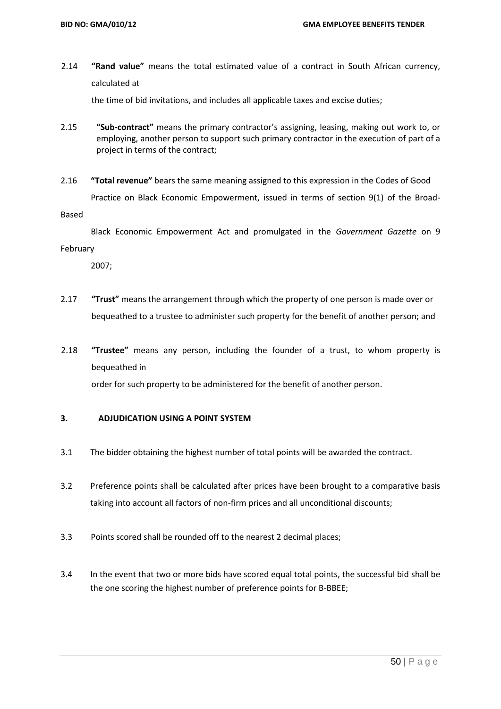2.14 **"Rand value"** means the total estimated value of a contract in South African currency, calculated at

the time of bid invitations, and includes all applicable taxes and excise duties;

- 2.15 **"Sub-contract"** means the primary contractor's assigning, leasing, making out work to, or employing, another person to support such primary contractor in the execution of part of a project in terms of the contract;
- 2.16 **"Total revenue"** bears the same meaning assigned to this expression in the Codes of Good Practice on Black Economic Empowerment, issued in terms of section 9(1) of the Broad-

Based

 Black Economic Empowerment Act and promulgated in the *Government Gazette* on 9 February

2007;

- 2.17 **"Trust"** means the arrangement through which the property of one person is made over or bequeathed to a trustee to administer such property for the benefit of another person; and
- 2.18 **"Trustee"** means any person, including the founder of a trust, to whom property is bequeathed in

order for such property to be administered for the benefit of another person.

#### **3. ADJUDICATION USING A POINT SYSTEM**

- 3.1 The bidder obtaining the highest number of total points will be awarded the contract.
- 3.2 Preference points shall be calculated after prices have been brought to a comparative basis taking into account all factors of non-firm prices and all unconditional discounts;
- 3.3 Points scored shall be rounded off to the nearest 2 decimal places;
- 3.4 In the event that two or more bids have scored equal total points, the successful bid shall be the one scoring the highest number of preference points for B-BBEE;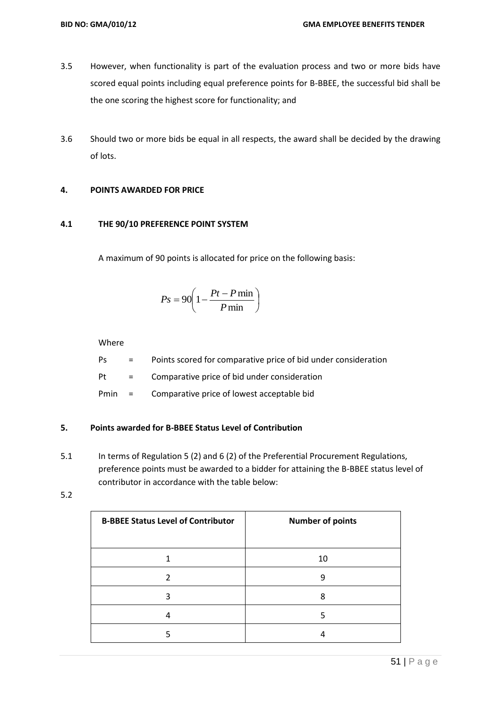- 3.5 However, when functionality is part of the evaluation process and two or more bids have scored equal points including equal preference points for B-BBEE, the successful bid shall be the one scoring the highest score for functionality; and
- 3.6 Should two or more bids be equal in all respects, the award shall be decided by the drawing of lots.

# **4. POINTS AWARDED FOR PRICE**

#### **4.1 THE 90/10 PREFERENCE POINT SYSTEM**

A maximum of 90 points is allocated for price on the following basis:

$$
Ps = 90 \left( 1 - \frac{Pt - P \min}{P \min} \right)
$$

Where

Ps = Points scored for comparative price of bid under consideration

Pt = Comparative price of bid under consideration

Pmin = Comparative price of lowest acceptable bid

#### **5. Points awarded for B-BBEE Status Level of Contribution**

- 5.1 In terms of Regulation 5 (2) and 6 (2) of the Preferential Procurement Regulations, preference points must be awarded to a bidder for attaining the B-BBEE status level of contributor in accordance with the table below:
- 5.2

| <b>B-BBEE Status Level of Contributor</b> | <b>Number of points</b> |
|-------------------------------------------|-------------------------|
|                                           | 10                      |
|                                           | q                       |
| ੨                                         | 8                       |
|                                           |                         |
|                                           |                         |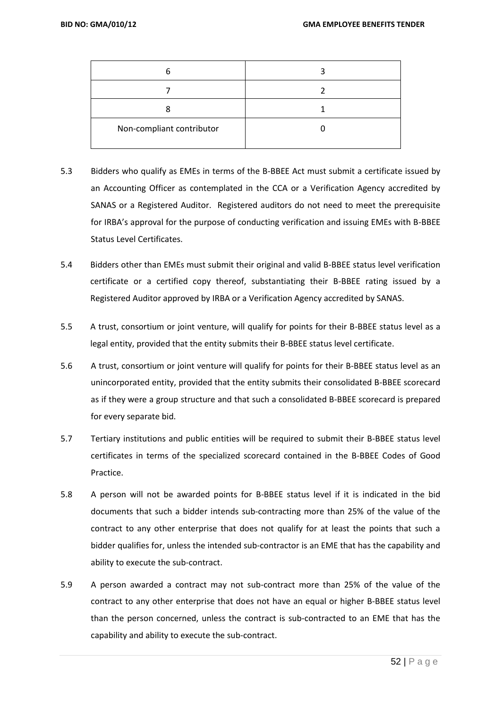| 6                         |  |
|---------------------------|--|
|                           |  |
| 8                         |  |
| Non-compliant contributor |  |

- 5.3 Bidders who qualify as EMEs in terms of the B-BBEE Act must submit a certificate issued by an Accounting Officer as contemplated in the CCA or a Verification Agency accredited by SANAS or a Registered Auditor. Registered auditors do not need to meet the prerequisite for IRBA's approval for the purpose of conducting verification and issuing EMEs with B-BBEE Status Level Certificates.
- 5.4 Bidders other than EMEs must submit their original and valid B-BBEE status level verification certificate or a certified copy thereof, substantiating their B-BBEE rating issued by a Registered Auditor approved by IRBA or a Verification Agency accredited by SANAS.
- 5.5 A trust, consortium or joint venture, will qualify for points for their B-BBEE status level as a legal entity, provided that the entity submits their B-BBEE status level certificate.
- 5.6 A trust, consortium or joint venture will qualify for points for their B-BBEE status level as an unincorporated entity, provided that the entity submits their consolidated B-BBEE scorecard as if they were a group structure and that such a consolidated B-BBEE scorecard is prepared for every separate bid.
- 5.7 Tertiary institutions and public entities will be required to submit their B-BBEE status level certificates in terms of the specialized scorecard contained in the B-BBEE Codes of Good Practice.
- 5.8 A person will not be awarded points for B-BBEE status level if it is indicated in the bid documents that such a bidder intends sub-contracting more than 25% of the value of the contract to any other enterprise that does not qualify for at least the points that such a bidder qualifies for, unless the intended sub-contractor is an EME that has the capability and ability to execute the sub-contract.
- 5.9 A person awarded a contract may not sub-contract more than 25% of the value of the contract to any other enterprise that does not have an equal or higher B-BBEE status level than the person concerned, unless the contract is sub-contracted to an EME that has the capability and ability to execute the sub-contract.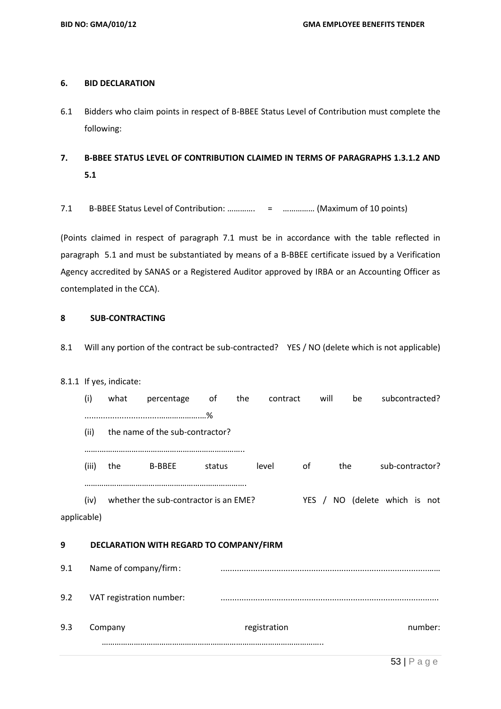### **6. BID DECLARATION**

- 6.1 Bidders who claim points in respect of B-BBEE Status Level of Contribution must complete the following:
- **7. B-BBEE STATUS LEVEL OF CONTRIBUTION CLAIMED IN TERMS OF PARAGRAPHS 1.3.1.2 AND 5.1**
- 7.1 B-BBEE Status Level of Contribution: …………. = …………… (Maximum of 10 points)

(Points claimed in respect of paragraph 7.1 must be in accordance with the table reflected in paragraph 5.1 and must be substantiated by means of a B-BBEE certificate issued by a Verification Agency accredited by SANAS or a Registered Auditor approved by IRBA or an Accounting Officer as contemplated in the CCA).

# **8 SUB-CONTRACTING**

8.1 Will any portion of the contract be sub-contracted? YES / NO (delete which is not applicable)

## 8.1.1 If yes, indicate:

|             | (i)   | what                  | percentage                              | οf     | the | contract     |    | will | be                            | subcontracted?  |         |  |
|-------------|-------|-----------------------|-----------------------------------------|--------|-----|--------------|----|------|-------------------------------|-----------------|---------|--|
|             |       |                       |                                         |        |     |              |    |      |                               |                 |         |  |
|             | (ii)  |                       | the name of the sub-contractor?         |        |     |              |    |      |                               |                 |         |  |
|             |       |                       |                                         |        |     |              |    |      |                               |                 |         |  |
|             | (iii) | the                   | <b>B-BBEE</b>                           | status |     | level        | of |      | the                           | sub-contractor? |         |  |
|             |       |                       |                                         |        |     |              |    |      |                               |                 |         |  |
|             | (iv)  |                       | whether the sub-contractor is an EME?   |        |     |              |    |      | YES / NO (delete which is not |                 |         |  |
| applicable) |       |                       |                                         |        |     |              |    |      |                               |                 |         |  |
| 9           |       |                       | DECLARATION WITH REGARD TO COMPANY/FIRM |        |     |              |    |      |                               |                 |         |  |
|             |       |                       |                                         |        |     |              |    |      |                               |                 |         |  |
| 9.1         |       | Name of company/firm: |                                         |        |     |              |    |      |                               |                 |         |  |
| 9.2         |       |                       | VAT registration number:                |        |     |              |    |      |                               |                 |         |  |
|             |       |                       |                                         |        |     |              |    |      |                               |                 |         |  |
| 9.3         |       | Company               |                                         |        |     | registration |    |      |                               |                 | number: |  |
|             |       |                       |                                         |        |     |              |    |      |                               |                 |         |  |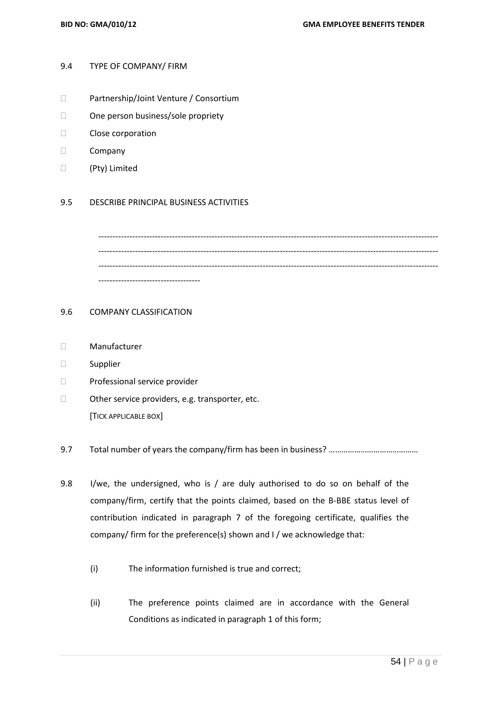#### 9.4 TYPE OF COMPANY/ FIRM

- Partnership/Joint Venture / Consortium
- □ One person business/sole propriety
- Close corporation
- D Company
- (Pty) Limited

#### 9.5 DESCRIBE PRINCIPAL BUSINESS ACTIVITIES

------------------------------------------------------------------------------------------------------------------------ ------------------------------------------------------------------------------------------------------------------------ ------------------------------------

#### 9.6 COMPANY CLASSIFICATION

- Manufacturer
- Supplier
- Professional service provider
- $\Box$  Other service providers, e.g. transporter, etc. [TICK APPLICABLE BOX]
- 9.7 Total number of years the company/firm has been in business? ……………………………………
- 9.8 I/we, the undersigned, who is / are duly authorised to do so on behalf of the company/firm, certify that the points claimed, based on the B-BBE status level of contribution indicated in paragraph 7 of the foregoing certificate, qualifies the company/ firm for the preference(s) shown and I / we acknowledge that:
	- (i) The information furnished is true and correct;
	- (ii) The preference points claimed are in accordance with the General Conditions as indicated in paragraph 1 of this form;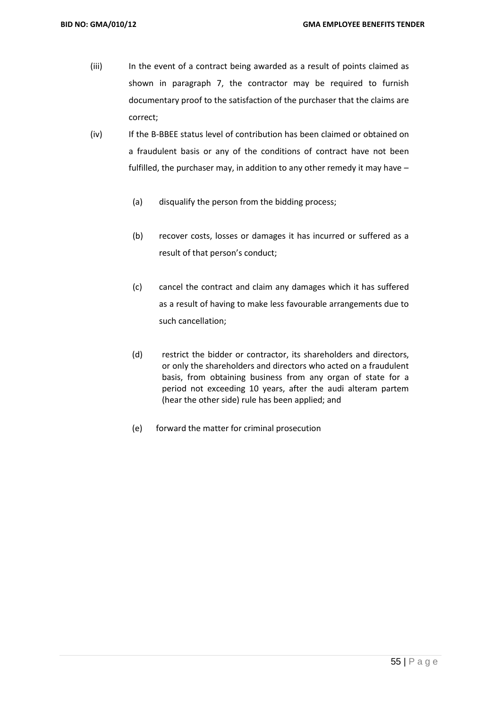- (iii) In the event of a contract being awarded as a result of points claimed as shown in paragraph 7, the contractor may be required to furnish documentary proof to the satisfaction of the purchaser that the claims are correct;
- (iv) If the B-BBEE status level of contribution has been claimed or obtained on a fraudulent basis or any of the conditions of contract have not been fulfilled, the purchaser may, in addition to any other remedy it may have –
	- (a) disqualify the person from the bidding process;
	- (b) recover costs, losses or damages it has incurred or suffered as a result of that person's conduct;
	- (c) cancel the contract and claim any damages which it has suffered as a result of having to make less favourable arrangements due to such cancellation;
	- (d) restrict the bidder or contractor, its shareholders and directors, or only the shareholders and directors who acted on a fraudulent basis, from obtaining business from any organ of state for a period not exceeding 10 years, after the audi alteram partem (hear the other side) rule has been applied; and
	- (e) forward the matter for criminal prosecution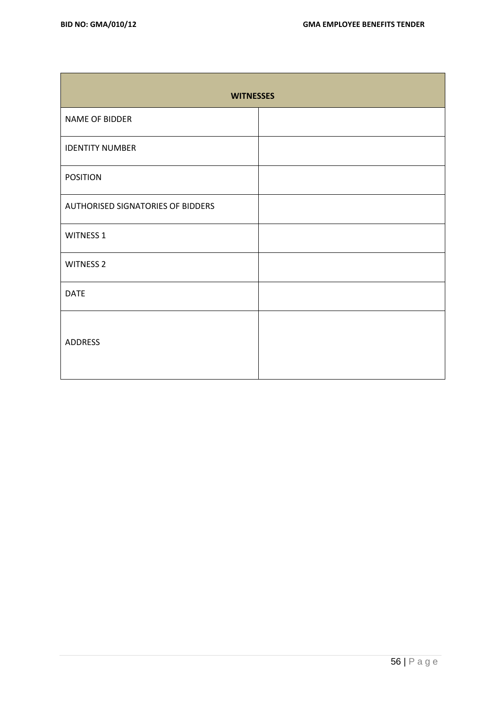| <b>WITNESSES</b>                         |  |  |  |  |  |
|------------------------------------------|--|--|--|--|--|
| NAME OF BIDDER                           |  |  |  |  |  |
| <b>IDENTITY NUMBER</b>                   |  |  |  |  |  |
| <b>POSITION</b>                          |  |  |  |  |  |
| <b>AUTHORISED SIGNATORIES OF BIDDERS</b> |  |  |  |  |  |
| <b>WITNESS 1</b>                         |  |  |  |  |  |
| <b>WITNESS 2</b>                         |  |  |  |  |  |
| <b>DATE</b>                              |  |  |  |  |  |
| <b>ADDRESS</b>                           |  |  |  |  |  |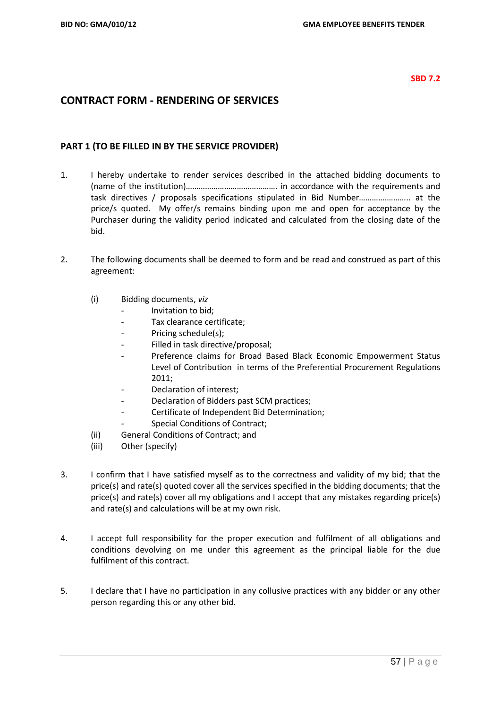#### **SBD 7.2**

# **CONTRACT FORM - RENDERING OF SERVICES**

## **PART 1 (TO BE FILLED IN BY THE SERVICE PROVIDER)**

- 1. I hereby undertake to render services described in the attached bidding documents to (name of the institution)……………………………………. in accordance with the requirements and task directives / proposals specifications stipulated in Bid Number………….……….. at the price/s quoted. My offer/s remains binding upon me and open for acceptance by the Purchaser during the validity period indicated and calculated from the closing date of the bid.
- 2. The following documents shall be deemed to form and be read and construed as part of this agreement:
	- (i) Bidding documents, *viz*
		- *-* Invitation to bid;
		- *-* Tax clearance certificate;
		- Pricing schedule(s);
		- *-* Filled in task directive/proposal;
		- *-* Preference claims for Broad Based Black Economic Empowerment Status Level of Contribution in terms of the Preferential Procurement Regulations 2011;
		- *-* Declaration of interest;
		- *-* Declaration of Bidders past SCM practices;
		- *-* Certificate of Independent Bid Determination;
		- **Special Conditions of Contract;**
	- (ii) General Conditions of Contract; and
	- (iii) Other (specify)
- 3. I confirm that I have satisfied myself as to the correctness and validity of my bid; that the price(s) and rate(s) quoted cover all the services specified in the bidding documents; that the price(s) and rate(s) cover all my obligations and I accept that any mistakes regarding price(s) and rate(s) and calculations will be at my own risk.
- 4. I accept full responsibility for the proper execution and fulfilment of all obligations and conditions devolving on me under this agreement as the principal liable for the due fulfilment of this contract.
- 5. I declare that I have no participation in any collusive practices with any bidder or any other person regarding this or any other bid.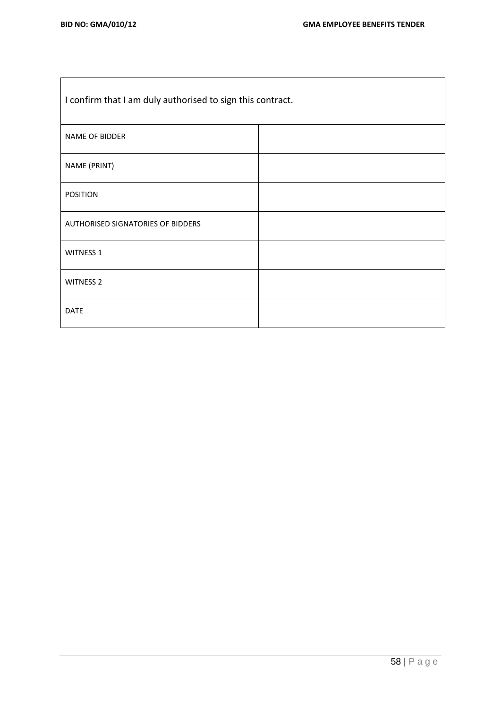| I confirm that I am duly authorised to sign this contract. |  |  |  |
|------------------------------------------------------------|--|--|--|
| NAME OF BIDDER                                             |  |  |  |
| NAME (PRINT)                                               |  |  |  |
| <b>POSITION</b>                                            |  |  |  |
| AUTHORISED SIGNATORIES OF BIDDERS                          |  |  |  |
| WITNESS 1                                                  |  |  |  |
| <b>WITNESS 2</b>                                           |  |  |  |
| <b>DATE</b>                                                |  |  |  |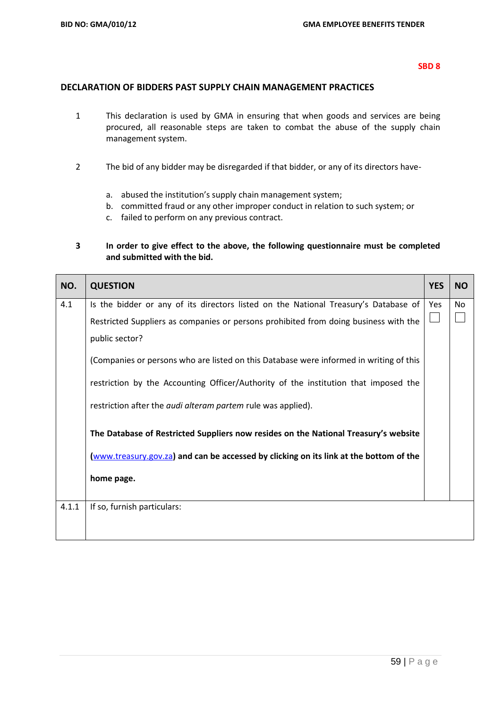## **DECLARATION OF BIDDERS PAST SUPPLY CHAIN MANAGEMENT PRACTICES**

- 1 This declaration is used by GMA in ensuring that when goods and services are being procured, all reasonable steps are taken to combat the abuse of the supply chain management system.
- 2 The bid of any bidder may be disregarded if that bidder, or any of its directors have
	- a. abused the institution's supply chain management system;
	- b. committed fraud or any other improper conduct in relation to such system; or
	- c. failed to perform on any previous contract.

# **3 In order to give effect to the above, the following questionnaire must be completed and submitted with the bid.**

| NO.   | <b>QUESTION</b>                                                                        | <b>YES</b> | <b>NO</b> |
|-------|----------------------------------------------------------------------------------------|------------|-----------|
| 4.1   | Is the bidder or any of its directors listed on the National Treasury's Database of    | Yes        | No        |
|       | Restricted Suppliers as companies or persons prohibited from doing business with the   |            |           |
|       | public sector?                                                                         |            |           |
|       | (Companies or persons who are listed on this Database were informed in writing of this |            |           |
|       | restriction by the Accounting Officer/Authority of the institution that imposed the    |            |           |
|       | restriction after the <i>audi alteram partem</i> rule was applied).                    |            |           |
|       | The Database of Restricted Suppliers now resides on the National Treasury's website    |            |           |
|       | (www.treasury.gov.za) and can be accessed by clicking on its link at the bottom of the |            |           |
|       | home page.                                                                             |            |           |
| 4.1.1 | If so, furnish particulars:                                                            |            |           |
|       |                                                                                        |            |           |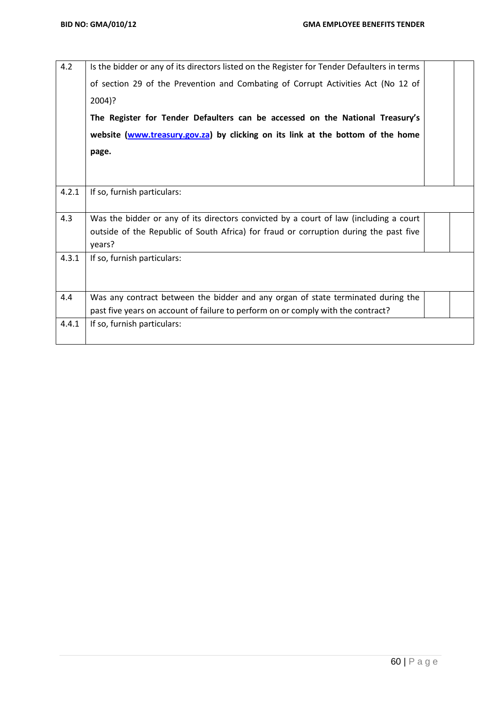| 4.2   | Is the bidder or any of its directors listed on the Register for Tender Defaulters in terms |  |
|-------|---------------------------------------------------------------------------------------------|--|
|       | of section 29 of the Prevention and Combating of Corrupt Activities Act (No 12 of           |  |
|       | 2004)?                                                                                      |  |
|       | The Register for Tender Defaulters can be accessed on the National Treasury's               |  |
|       | website (www.treasury.gov.za) by clicking on its link at the bottom of the home             |  |
|       | page.                                                                                       |  |
|       |                                                                                             |  |
|       |                                                                                             |  |
| 4.2.1 | If so, furnish particulars:                                                                 |  |
| 4.3   | Was the bidder or any of its directors convicted by a court of law (including a court       |  |
|       | outside of the Republic of South Africa) for fraud or corruption during the past five       |  |
|       | years?                                                                                      |  |
| 4.3.1 | If so, furnish particulars:                                                                 |  |
|       |                                                                                             |  |
|       |                                                                                             |  |
| 4.4   | Was any contract between the bidder and any organ of state terminated during the            |  |
|       | past five years on account of failure to perform on or comply with the contract?            |  |
| 4.4.1 | If so, furnish particulars:                                                                 |  |
|       |                                                                                             |  |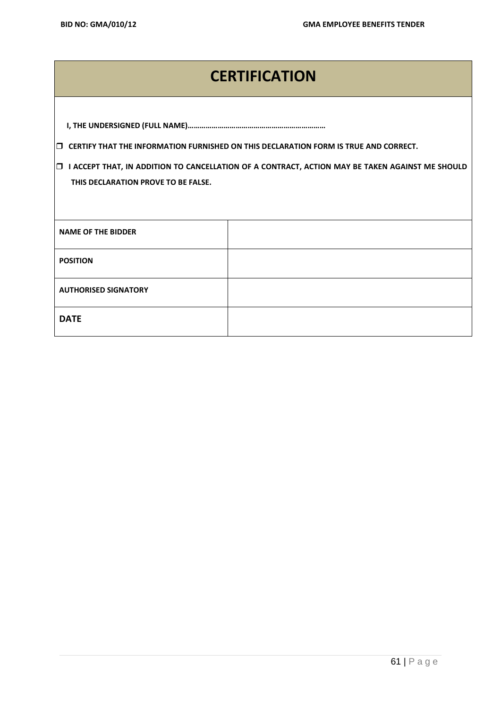# **CERTIFICATION**

**CERTIFY THAT THE INFORMATION FURNISHED ON THIS DECLARATION FORM IS TRUE AND CORRECT.**

 **I ACCEPT THAT, IN ADDITION TO CANCELLATION OF A CONTRACT, ACTION MAY BE TAKEN AGAINST ME SHOULD THIS DECLARATION PROVE TO BE FALSE.**

| <b>NAME OF THE BIDDER</b>   |  |
|-----------------------------|--|
| <b>POSITION</b>             |  |
| <b>AUTHORISED SIGNATORY</b> |  |
| <b>DATE</b>                 |  |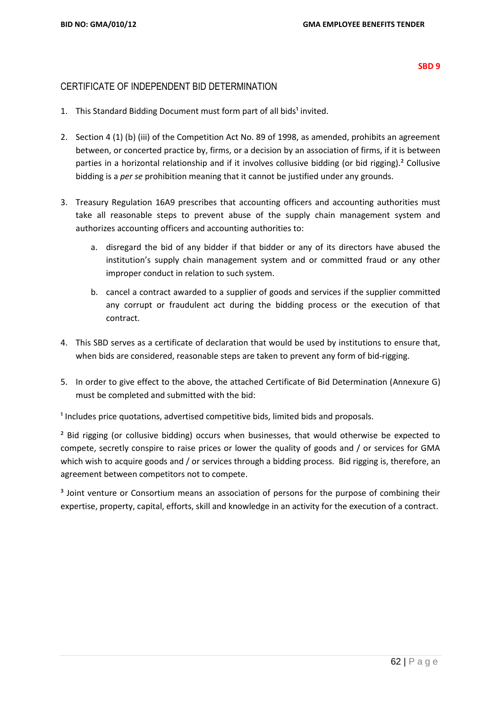#### **SBD 9**

# CERTIFICATE OF INDEPENDENT BID DETERMINATION

- 1. This Standard Bidding Document must form part of all bids<sup>1</sup> invited.
- 2. Section 4 (1) (b) (iii) of the Competition Act No. 89 of 1998, as amended, prohibits an agreement between, or concerted practice by, firms, or a decision by an association of firms, if it is between parties in a horizontal relationship and if it involves collusive bidding (or bid rigging).² Collusive bidding is a *per se* prohibition meaning that it cannot be justified under any grounds.
- 3. Treasury Regulation 16A9 prescribes that accounting officers and accounting authorities must take all reasonable steps to prevent abuse of the supply chain management system and authorizes accounting officers and accounting authorities to:
	- a. disregard the bid of any bidder if that bidder or any of its directors have abused the institution's supply chain management system and or committed fraud or any other improper conduct in relation to such system.
	- b. cancel a contract awarded to a supplier of goods and services if the supplier committed any corrupt or fraudulent act during the bidding process or the execution of that contract.
- 4. This SBD serves as a certificate of declaration that would be used by institutions to ensure that, when bids are considered, reasonable steps are taken to prevent any form of bid-rigging.
- 5. In order to give effect to the above, the attached Certificate of Bid Determination (Annexure G) must be completed and submitted with the bid:

 $<sup>1</sup>$  Includes price quotations, advertised competitive bids, limited bids and proposals.</sup>

<sup>2</sup> Bid rigging (or collusive bidding) occurs when businesses, that would otherwise be expected to compete, secretly conspire to raise prices or lower the quality of goods and / or services for GMA which wish to acquire goods and / or services through a bidding process. Bid rigging is, therefore, an agreement between competitors not to compete.

<sup>3</sup> Joint venture or Consortium means an association of persons for the purpose of combining their expertise, property, capital, efforts, skill and knowledge in an activity for the execution of a contract.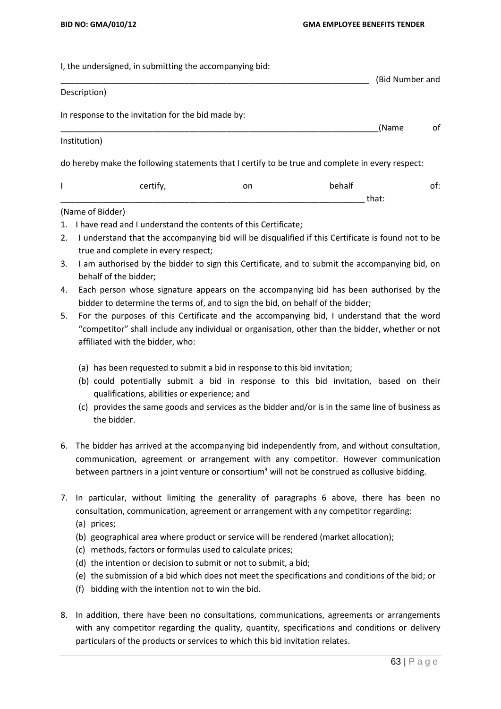I, the undersigned, in submitting the accompanying bid:

|                  |                                                    |    |                                                                                                  | (Bid Number and |
|------------------|----------------------------------------------------|----|--------------------------------------------------------------------------------------------------|-----------------|
| Description)     |                                                    |    |                                                                                                  |                 |
|                  | In response to the invitation for the bid made by: |    | (Name                                                                                            | of              |
| Institution)     |                                                    |    |                                                                                                  |                 |
|                  |                                                    |    | do hereby make the following statements that I certify to be true and complete in every respect: |                 |
|                  | certify,                                           | on | behalf                                                                                           | of:             |
|                  |                                                    |    | that:                                                                                            |                 |
| (Name of Bidder) |                                                    |    |                                                                                                  |                 |

- 1. I have read and I understand the contents of this Certificate;
- 2. I understand that the accompanying bid will be disqualified if this Certificate is found not to be true and complete in every respect;
- 3. I am authorised by the bidder to sign this Certificate, and to submit the accompanying bid, on behalf of the bidder;
- 4. Each person whose signature appears on the accompanying bid has been authorised by the bidder to determine the terms of, and to sign the bid, on behalf of the bidder;
- 5. For the purposes of this Certificate and the accompanying bid, I understand that the word "competitor" shall include any individual or organisation, other than the bidder, whether or not affiliated with the bidder, who:
	- (a) has been requested to submit a bid in response to this bid invitation;
	- (b) could potentially submit a bid in response to this bid invitation, based on their qualifications, abilities or experience; and
	- (c) provides the same goods and services as the bidder and/or is in the same line of business as the bidder.
- 6. The bidder has arrived at the accompanying bid independently from, and without consultation, communication, agreement or arrangement with any competitor. However communication between partners in a joint venture or consortium<sup>3</sup> will not be construed as collusive bidding.
- 7. In particular, without limiting the generality of paragraphs 6 above, there has been no consultation, communication, agreement or arrangement with any competitor regarding:
	- (a) prices;
	- (b) geographical area where product or service will be rendered (market allocation);
	- (c) methods, factors or formulas used to calculate prices;
	- (d) the intention or decision to submit or not to submit, a bid;
	- (e) the submission of a bid which does not meet the specifications and conditions of the bid; or
	- (f) bidding with the intention not to win the bid.
- 8. In addition, there have been no consultations, communications, agreements or arrangements with any competitor regarding the quality, quantity, specifications and conditions or delivery particulars of the products or services to which this bid invitation relates.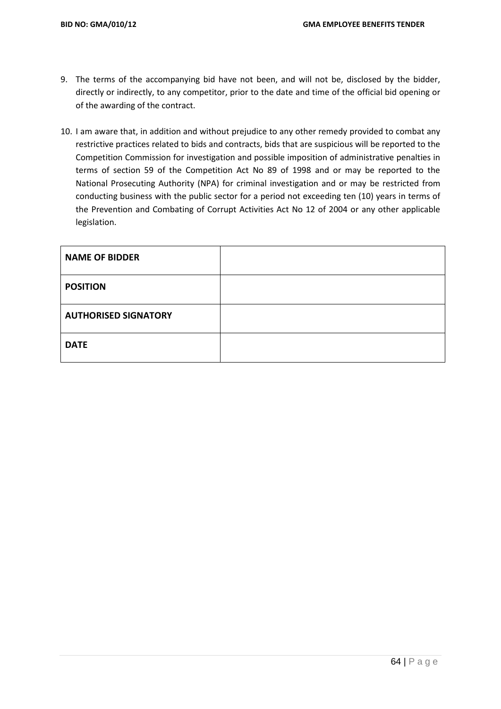- 9. The terms of the accompanying bid have not been, and will not be, disclosed by the bidder, directly or indirectly, to any competitor, prior to the date and time of the official bid opening or of the awarding of the contract.
- 10. I am aware that, in addition and without prejudice to any other remedy provided to combat any restrictive practices related to bids and contracts, bids that are suspicious will be reported to the Competition Commission for investigation and possible imposition of administrative penalties in terms of section 59 of the Competition Act No 89 of 1998 and or may be reported to the National Prosecuting Authority (NPA) for criminal investigation and or may be restricted from conducting business with the public sector for a period not exceeding ten (10) years in terms of the Prevention and Combating of Corrupt Activities Act No 12 of 2004 or any other applicable legislation.

| <b>NAME OF BIDDER</b>       |  |
|-----------------------------|--|
| <b>POSITION</b>             |  |
| <b>AUTHORISED SIGNATORY</b> |  |
| <b>DATE</b>                 |  |